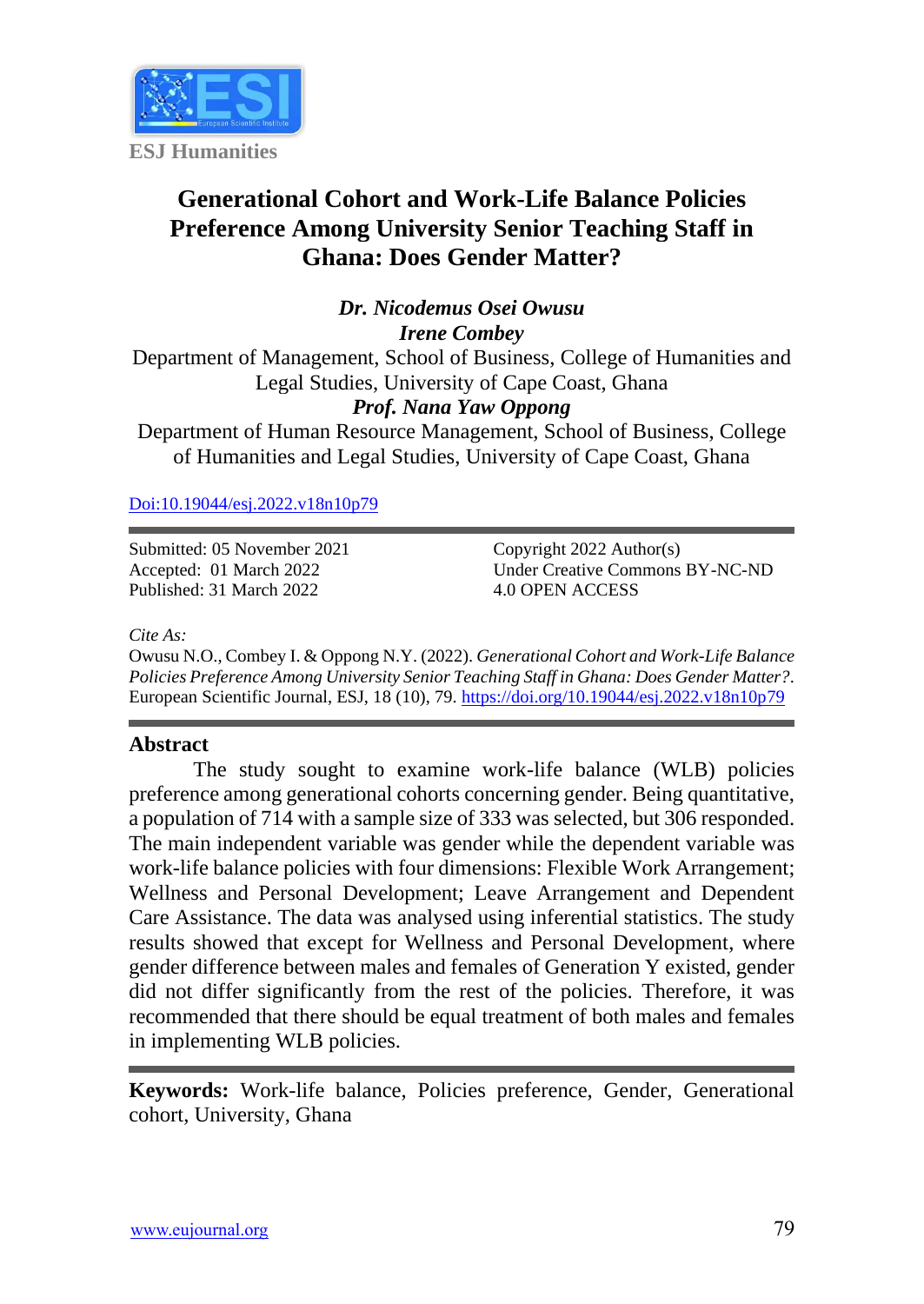

# **Generational Cohort and Work-Life Balance Policies Preference Among University Senior Teaching Staff in Ghana: Does Gender Matter?**

*Dr. Nicodemus Osei Owusu Irene Combey*

Department of Management, School of Business, College of Humanities and Legal Studies, University of Cape Coast, Ghana

# *Prof. Nana Yaw Oppong*

Department of Human Resource Management, School of Business, College of Humanities and Legal Studies, University of Cape Coast, Ghana

[Doi:10.19044/esj.2022.v18n10p79](https://doi.org/10.19044/esj.2022.v18n10p79)

Submitted: 05 November 2021 Accepted: 01 March 2022 Published: 31 March 2022

Copyright 2022 Author(s) Under Creative Commons BY-NC-ND 4.0 OPEN ACCESS

#### *Cite As:*

Owusu N.O., Combey I. & Oppong N.Y. (2022). *Generational Cohort and Work-Life Balance Policies Preference Among University Senior Teaching Staff in Ghana: Does Gender Matter?.* European Scientific Journal, ESJ, 18 (10), 79. <https://doi.org/10.19044/esj.2022.v18n10p79>

#### **Abstract**

The study sought to examine work-life balance (WLB) policies preference among generational cohorts concerning gender. Being quantitative, a population of 714 with a sample size of 333 was selected, but 306 responded. The main independent variable was gender while the dependent variable was work-life balance policies with four dimensions: Flexible Work Arrangement; Wellness and Personal Development; Leave Arrangement and Dependent Care Assistance. The data was analysed using inferential statistics. The study results showed that except for Wellness and Personal Development, where gender difference between males and females of Generation Y existed, gender did not differ significantly from the rest of the policies. Therefore, it was recommended that there should be equal treatment of both males and females in implementing WLB policies.

**Keywords:** Work-life balance, Policies preference, Gender, Generational cohort, University, Ghana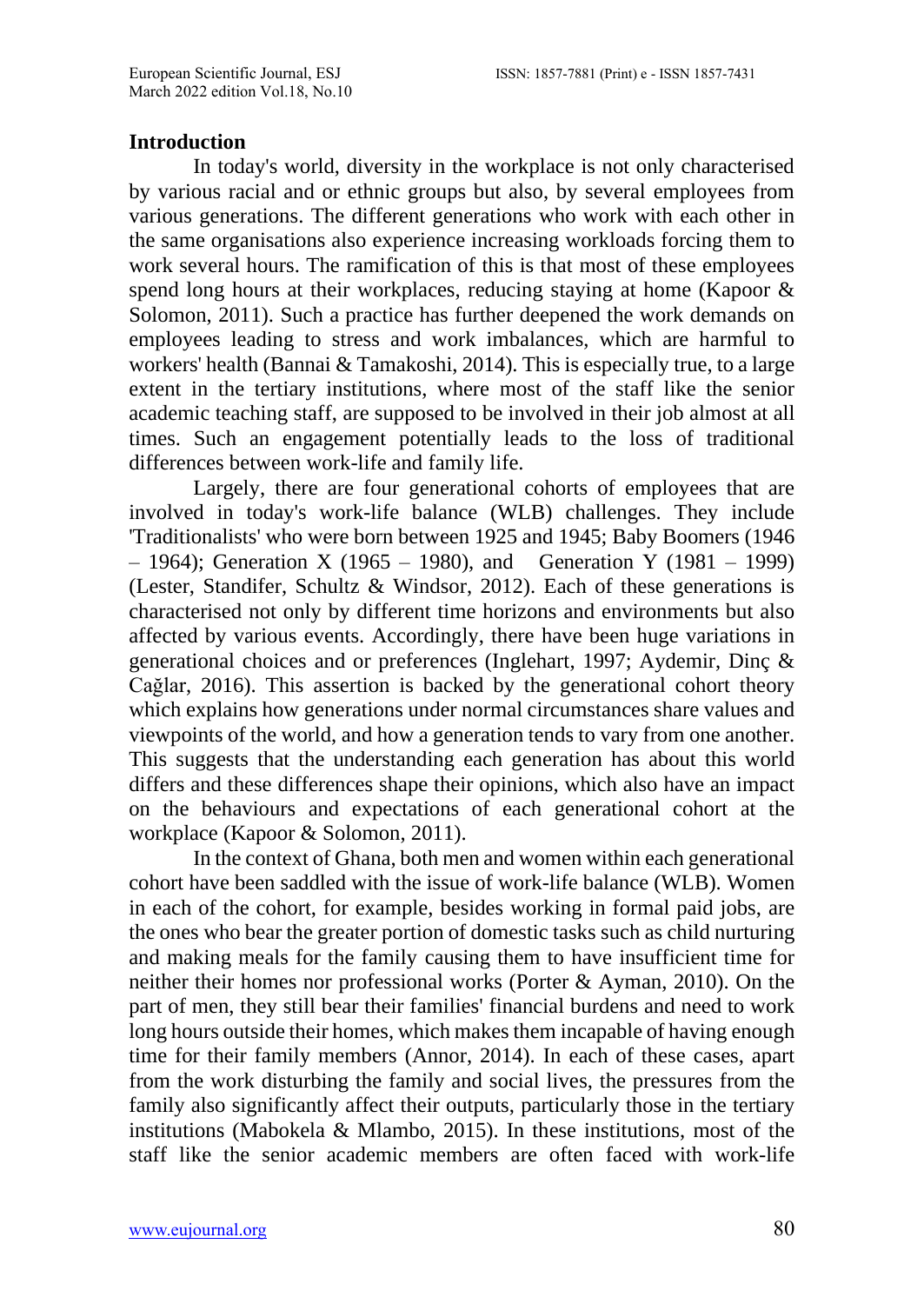#### **Introduction**

In today's world, diversity in the workplace is not only characterised by various racial and or ethnic groups but also, by several employees from various generations. The different generations who work with each other in the same organisations also experience increasing workloads forcing them to work several hours. The ramification of this is that most of these employees spend long hours at their workplaces, reducing staying at home (Kapoor & Solomon, 2011). Such a practice has further deepened the work demands on employees leading to stress and work imbalances, which are harmful to workers' health (Bannai & Tamakoshi, 2014). This is especially true, to a large extent in the tertiary institutions, where most of the staff like the senior academic teaching staff, are supposed to be involved in their job almost at all times. Such an engagement potentially leads to the loss of traditional differences between work-life and family life.

Largely, there are four generational cohorts of employees that are involved in today's work-life balance (WLB) challenges. They include 'Traditionalists' who were born between 1925 and 1945; Baby Boomers (1946 – 1964); Generation X (1965 – 1980), and Generation Y (1981 – 1999) (Lester, Standifer, Schultz & Windsor, 2012). Each of these generations is characterised not only by different time horizons and environments but also affected by various events. Accordingly, there have been huge variations in generational choices and or preferences (Inglehart, 1997; Aydemir, Dinç & Cağlar, 2016). This assertion is backed by the generational cohort theory which explains how generations under normal circumstances share values and viewpoints of the world, and how a generation tends to vary from one another. This suggests that the understanding each generation has about this world differs and these differences shape their opinions, which also have an impact on the behaviours and expectations of each generational cohort at the workplace (Kapoor & Solomon, 2011).

In the context of Ghana, both men and women within each generational cohort have been saddled with the issue of work-life balance (WLB). Women in each of the cohort, for example, besides working in formal paid jobs, are the ones who bear the greater portion of domestic tasks such as child nurturing and making meals for the family causing them to have insufficient time for neither their homes nor professional works (Porter & Ayman, 2010). On the part of men, they still bear their families' financial burdens and need to work long hours outside their homes, which makes them incapable of having enough time for their family members (Annor, 2014). In each of these cases, apart from the work disturbing the family and social lives, the pressures from the family also significantly affect their outputs, particularly those in the tertiary institutions (Mabokela & Mlambo, 2015). In these institutions, most of the staff like the senior academic members are often faced with work-life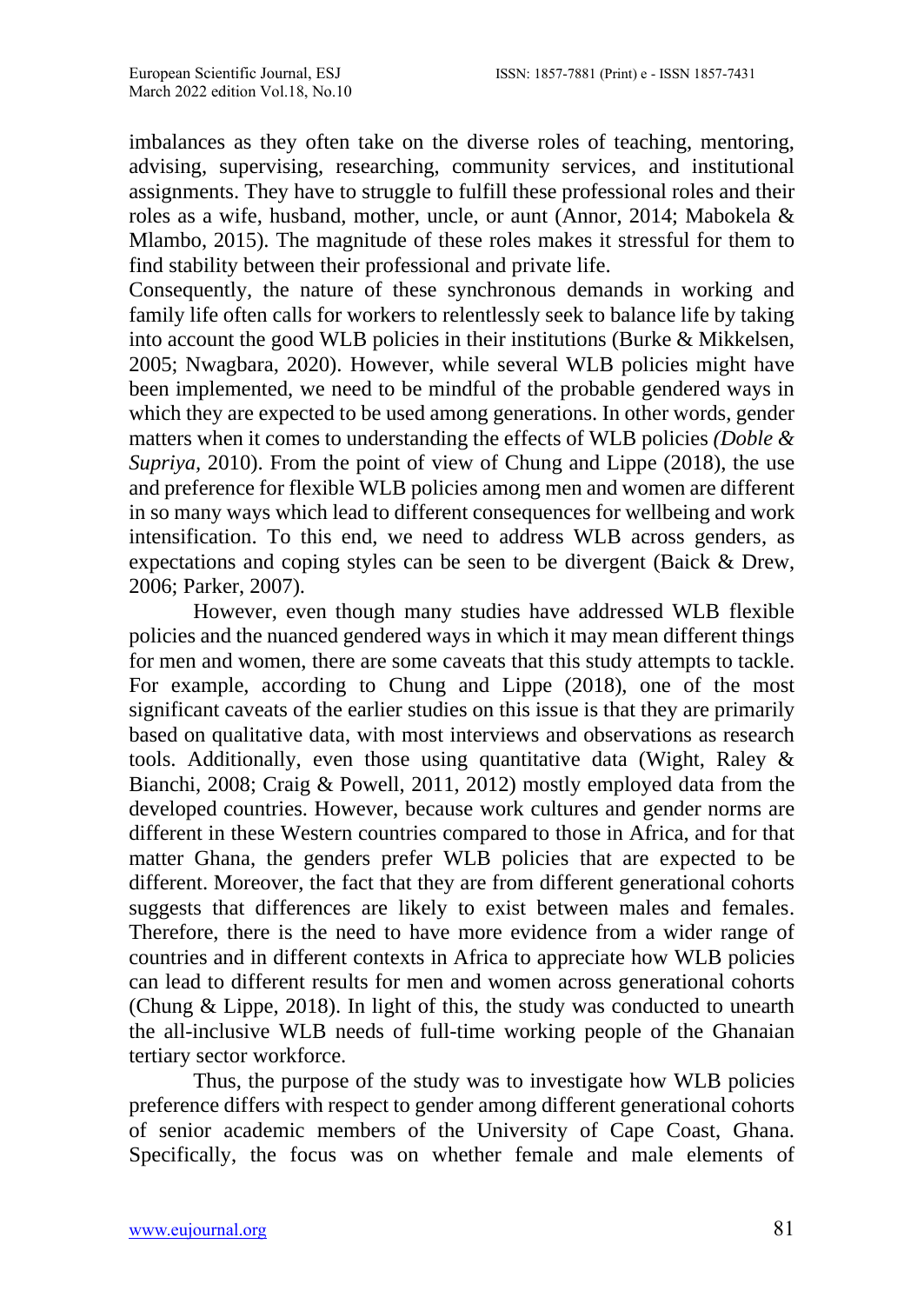imbalances as they often take on the diverse roles of teaching, mentoring, advising, supervising, researching, community services, and institutional assignments. They have to struggle to fulfill these professional roles and their roles as a wife, husband, mother, uncle, or aunt (Annor, 2014; Mabokela & Mlambo, 2015). The magnitude of these roles makes it stressful for them to find stability between their professional and private life.

Consequently, the nature of these synchronous demands in working and family life often calls for workers to relentlessly seek to balance life by taking into account the good WLB policies in their institutions (Burke & Mikkelsen, 2005; Nwagbara, 2020). However, while several WLB policies might have been implemented, we need to be mindful of the probable gendered ways in which they are expected to be used among generations. In other words, gender matters when it comes to understanding the effects of WLB policies *(Doble & Supriya,* 2010). From the point of view of Chung and Lippe (2018), the use and preference for flexible WLB policies among men and women are different in so many ways which lead to different consequences for wellbeing and work intensification. To this end, we need to address WLB across genders, as expectations and coping styles can be seen to be divergent (Baick & Drew, 2006; Parker, 2007).

However, even though many studies have addressed WLB flexible policies and the nuanced gendered ways in which it may mean different things for men and women, there are some caveats that this study attempts to tackle. For example, according to Chung and Lippe (2018), one of the most significant caveats of the earlier studies on this issue is that they are primarily based on qualitative data, with most interviews and observations as research tools. Additionally, even those using quantitative data (Wight, Raley & Bianchi, 2008; Craig & Powell, 2011, 2012) mostly employed data from the developed countries. However, because work cultures and gender norms are different in these Western countries compared to those in Africa, and for that matter Ghana, the genders prefer WLB policies that are expected to be different. Moreover, the fact that they are from different generational cohorts suggests that differences are likely to exist between males and females. Therefore, there is the need to have more evidence from a wider range of countries and in different contexts in Africa to appreciate how WLB policies can lead to different results for men and women across generational cohorts (Chung & Lippe, 2018). In light of this, the study was conducted to unearth the all-inclusive WLB needs of full-time working people of the Ghanaian tertiary sector workforce.

Thus, the purpose of the study was to investigate how WLB policies preference differs with respect to gender among different generational cohorts of senior academic members of the University of Cape Coast, Ghana. Specifically, the focus was on whether female and male elements of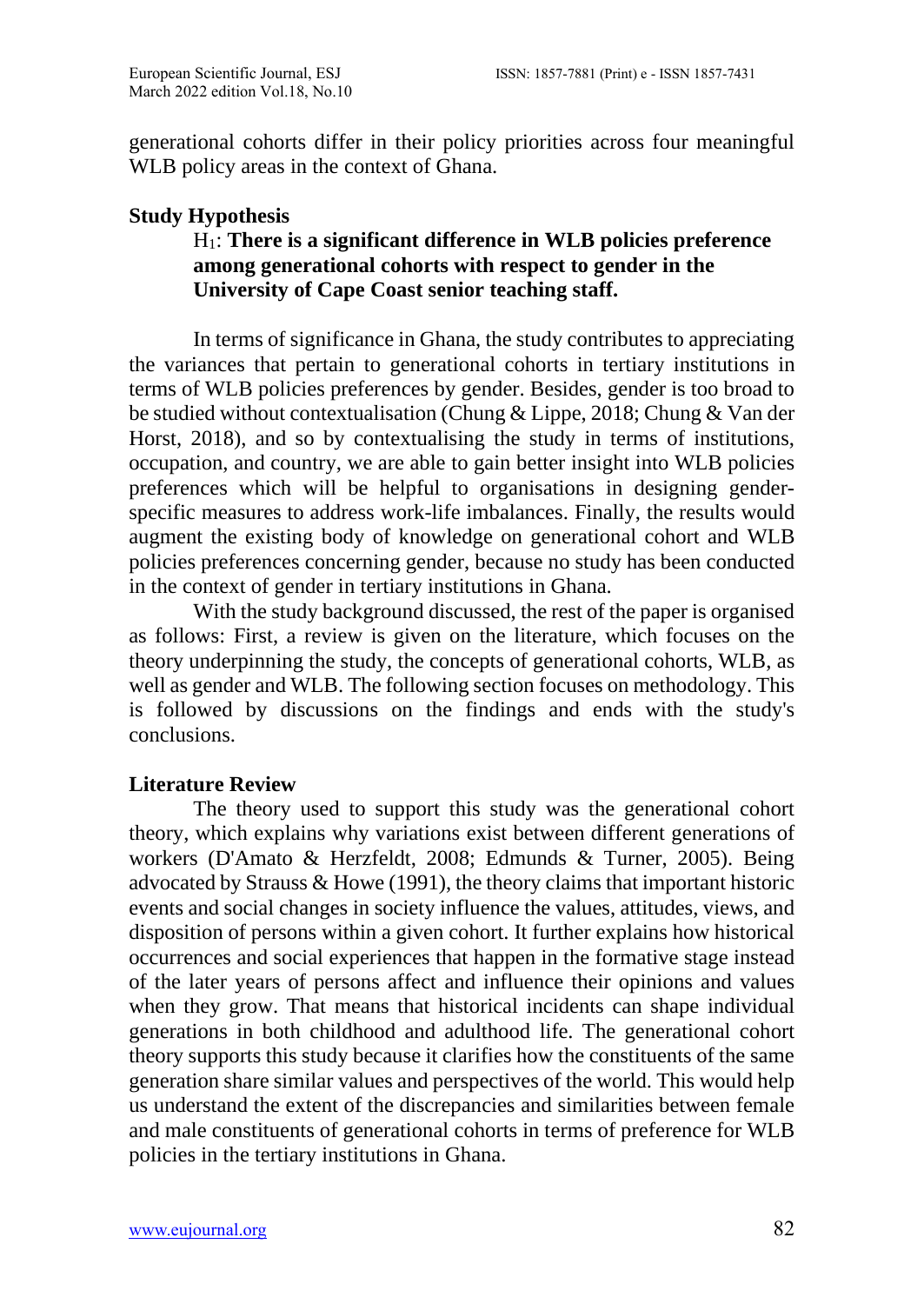generational cohorts differ in their policy priorities across four meaningful WLB policy areas in the context of Ghana.

## **Study Hypothesis**

# H1: **There is a significant difference in WLB policies preference among generational cohorts with respect to gender in the University of Cape Coast senior teaching staff.**

In terms of significance in Ghana, the study contributes to appreciating the variances that pertain to generational cohorts in tertiary institutions in terms of WLB policies preferences by gender. Besides, gender is too broad to be studied without contextualisation (Chung & Lippe, 2018; Chung & Van der Horst, 2018), and so by contextualising the study in terms of institutions, occupation, and country, we are able to gain better insight into WLB policies preferences which will be helpful to organisations in designing genderspecific measures to address work-life imbalances. Finally, the results would augment the existing body of knowledge on generational cohort and WLB policies preferences concerning gender, because no study has been conducted in the context of gender in tertiary institutions in Ghana.

With the study background discussed, the rest of the paper is organised as follows: First, a review is given on the literature, which focuses on the theory underpinning the study, the concepts of generational cohorts, WLB, as well as gender and WLB. The following section focuses on methodology. This is followed by discussions on the findings and ends with the study's conclusions.

#### **Literature Review**

The theory used to support this study was the generational cohort theory, which explains why variations exist between different generations of workers (D'Amato & Herzfeldt, 2008; Edmunds & Turner, 2005). Being advocated by Strauss & Howe (1991), the theory claims that important historic events and social changes in society influence the values, attitudes, views, and disposition of persons within a given cohort. It further explains how historical occurrences and social experiences that happen in the formative stage instead of the later years of persons affect and influence their opinions and values when they grow. That means that historical incidents can shape individual generations in both childhood and adulthood life. The generational cohort theory supports this study because it clarifies how the constituents of the same generation share similar values and perspectives of the world. This would help us understand the extent of the discrepancies and similarities between female and male constituents of generational cohorts in terms of preference for WLB policies in the tertiary institutions in Ghana.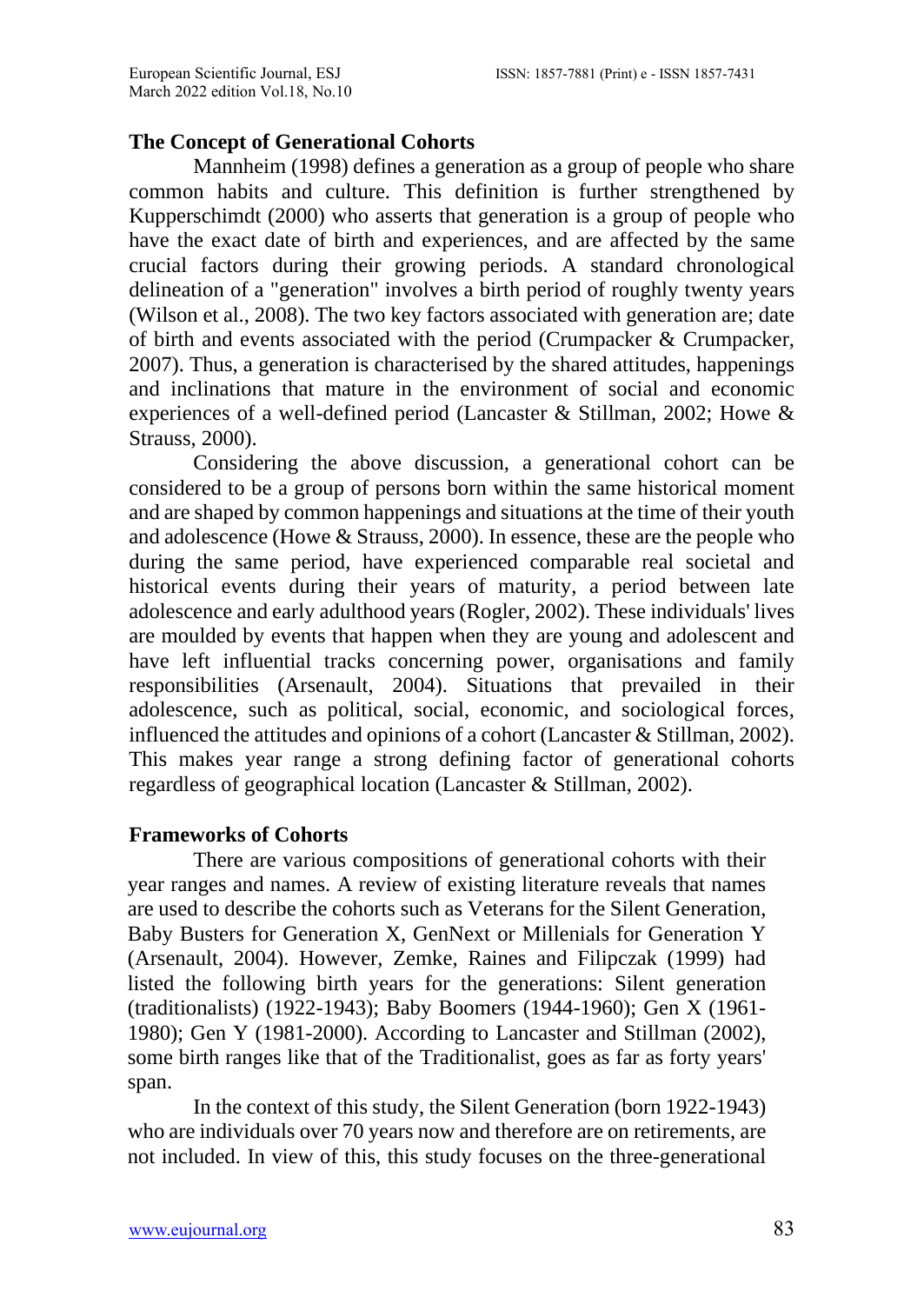# **The Concept of Generational Cohorts**

Mannheim (1998) defines a generation as a group of people who share common habits and culture. This definition is further strengthened by Kupperschimdt (2000) who asserts that generation is a group of people who have the exact date of birth and experiences, and are affected by the same crucial factors during their growing periods. A standard chronological delineation of a "generation" involves a birth period of roughly twenty years (Wilson et al., 2008). The two key factors associated with generation are; date of birth and events associated with the period (Crumpacker & Crumpacker, 2007). Thus, a generation is characterised by the shared attitudes, happenings and inclinations that mature in the environment of social and economic experiences of a well-defined period (Lancaster & Stillman, 2002; Howe & Strauss, 2000).

Considering the above discussion, a generational cohort can be considered to be a group of persons born within the same historical moment and are shaped by common happenings and situations at the time of their youth and adolescence (Howe & Strauss, 2000). In essence, these are the people who during the same period, have experienced comparable real societal and historical events during their years of maturity, a period between late adolescence and early adulthood years (Rogler, 2002). These individuals' lives are moulded by events that happen when they are young and adolescent and have left influential tracks concerning power, organisations and family responsibilities (Arsenault, 2004). Situations that prevailed in their adolescence, such as political, social, economic, and sociological forces, influenced the attitudes and opinions of a cohort (Lancaster & Stillman, 2002). This makes year range a strong defining factor of generational cohorts regardless of geographical location (Lancaster & Stillman, 2002).

# **Frameworks of Cohorts**

There are various compositions of generational cohorts with their year ranges and names. A review of existing literature reveals that names are used to describe the cohorts such as Veterans for the Silent Generation, Baby Busters for Generation X, GenNext or Millenials for Generation Y (Arsenault, 2004). However, Zemke, Raines and Filipczak (1999) had listed the following birth years for the generations: Silent generation (traditionalists) (1922-1943); Baby Boomers (1944-1960); Gen X (1961- 1980); Gen Y (1981-2000). According to Lancaster and Stillman (2002), some birth ranges like that of the Traditionalist, goes as far as forty years' span.

In the context of this study, the Silent Generation (born 1922-1943) who are individuals over 70 years now and therefore are on retirements, are not included. In view of this, this study focuses on the three-generational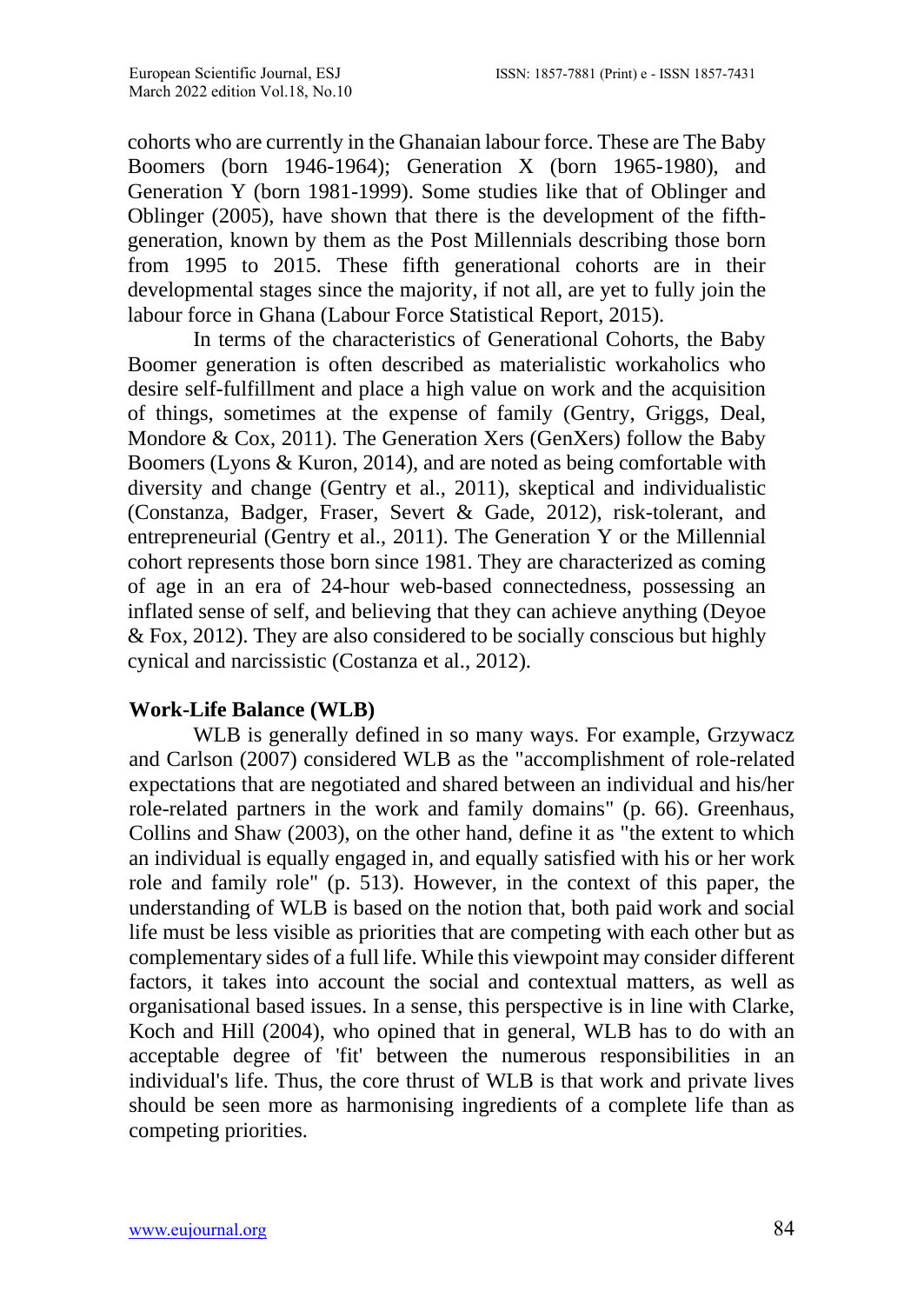cohorts who are currently in the Ghanaian labour force. These are The Baby Boomers (born 1946-1964); Generation X (born 1965-1980), and Generation Y (born 1981-1999). Some studies like that of Oblinger and Oblinger (2005), have shown that there is the development of the fifthgeneration, known by them as the Post Millennials describing those born from 1995 to 2015. These fifth generational cohorts are in their developmental stages since the majority, if not all, are yet to fully join the labour force in Ghana (Labour Force Statistical Report, 2015).

In terms of the characteristics of Generational Cohorts, the Baby Boomer generation is often described as materialistic workaholics who desire self-fulfillment and place a high value on work and the acquisition of things, sometimes at the expense of family (Gentry, Griggs, Deal, Mondore & Cox, 2011). The Generation Xers (GenXers) follow the Baby Boomers (Lyons & Kuron, 2014), and are noted as being comfortable with diversity and change (Gentry et al., 2011), skeptical and individualistic (Constanza, Badger, Fraser, Severt & Gade, 2012), risk-tolerant, and entrepreneurial (Gentry et al., 2011). The Generation Y or the Millennial cohort represents those born since 1981. They are characterized as coming of age in an era of 24-hour web-based connectedness, possessing an inflated sense of self, and believing that they can achieve anything (Deyoe & Fox, 2012). They are also considered to be socially conscious but highly cynical and narcissistic (Costanza et al., 2012).

# **Work-Life Balance (WLB)**

WLB is generally defined in so many ways. For example, Grzywacz and Carlson (2007) considered WLB as the "accomplishment of role-related expectations that are negotiated and shared between an individual and his/her role-related partners in the work and family domains" (p. 66). Greenhaus, Collins and Shaw (2003), on the other hand, define it as "the extent to which an individual is equally engaged in, and equally satisfied with his or her work role and family role" (p. 513). However, in the context of this paper, the understanding of WLB is based on the notion that, both paid work and social life must be less visible as priorities that are competing with each other but as complementary sides of a full life. While this viewpoint may consider different factors, it takes into account the social and contextual matters, as well as organisational based issues. In a sense, this perspective is in line with Clarke, Koch and Hill (2004), who opined that in general, WLB has to do with an acceptable degree of 'fit' between the numerous responsibilities in an individual's life. Thus, the core thrust of WLB is that work and private lives should be seen more as harmonising ingredients of a complete life than as competing priorities.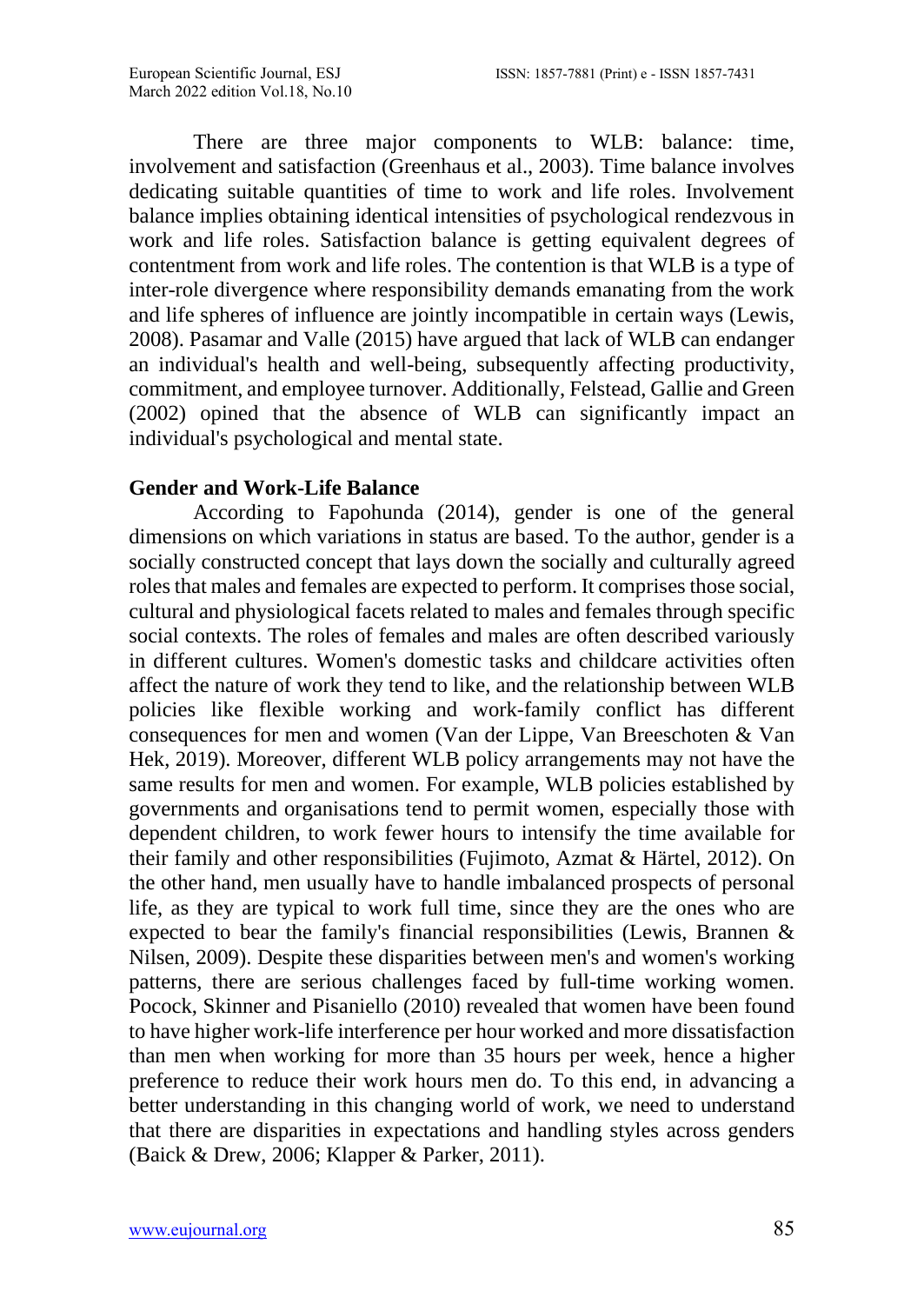There are three major components to WLB: balance: time, involvement and satisfaction (Greenhaus et al., 2003). Time balance involves dedicating suitable quantities of time to work and life roles. Involvement balance implies obtaining identical intensities of psychological rendezvous in work and life roles. Satisfaction balance is getting equivalent degrees of contentment from work and life roles. The contention is that WLB is a type of inter-role divergence where responsibility demands emanating from the work and life spheres of influence are jointly incompatible in certain ways (Lewis, 2008). Pasamar and Valle (2015) have argued that lack of WLB can endanger an individual's health and well-being, subsequently affecting productivity, commitment, and employee turnover. Additionally, Felstead, Gallie and Green (2002) opined that the absence of WLB can significantly impact an individual's psychological and mental state.

### **Gender and Work-Life Balance**

According to Fapohunda (2014), gender is one of the general dimensions on which variations in status are based. To the author, gender is a socially constructed concept that lays down the socially and culturally agreed roles that males and females are expected to perform. It comprises those social, cultural and physiological facets related to males and females through specific social contexts. The roles of females and males are often described variously in different cultures. Women's domestic tasks and childcare activities often affect the nature of work they tend to like, and the relationship between WLB policies like flexible working and work-family conflict has different consequences for men and women (Van der Lippe, Van Breeschoten & Van Hek, 2019). Moreover, different WLB policy arrangements may not have the same results for men and women. For example, WLB policies established by governments and organisations tend to permit women, especially those with dependent children, to work fewer hours to intensify the time available for their family and other responsibilities (Fujimoto, Azmat & Härtel, 2012). On the other hand, men usually have to handle imbalanced prospects of personal life, as they are typical to work full time, since they are the ones who are expected to bear the family's financial responsibilities (Lewis, Brannen & Nilsen, 2009). Despite these disparities between men's and women's working patterns, there are serious challenges faced by full-time working women. Pocock, Skinner and Pisaniello (2010) revealed that women have been found to have higher work-life interference per hour worked and more dissatisfaction than men when working for more than 35 hours per week, hence a higher preference to reduce their work hours men do. To this end, in advancing a better understanding in this changing world of work, we need to understand that there are disparities in expectations and handling styles across genders (Baick & Drew, 2006; Klapper & Parker, 2011).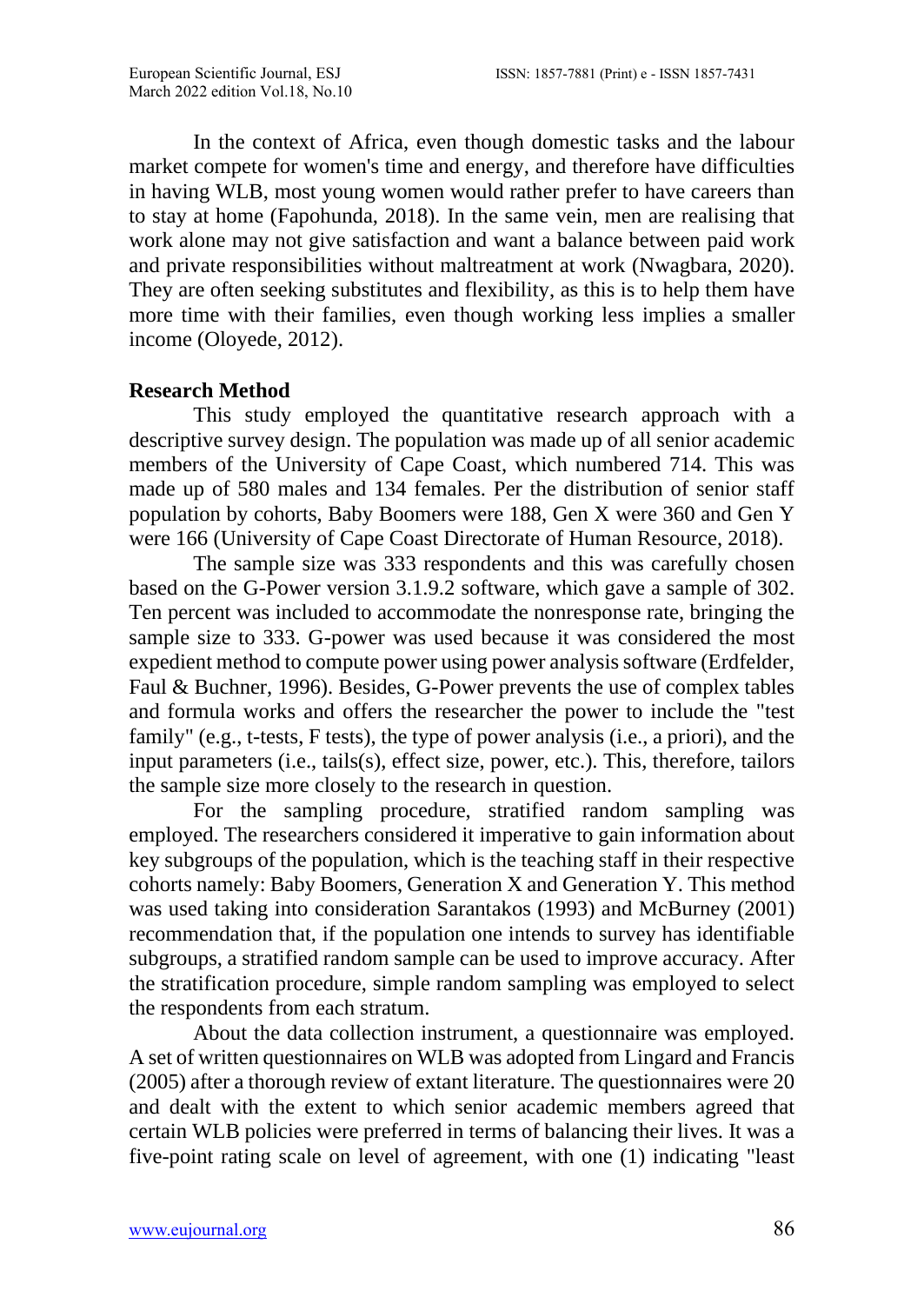In the context of Africa, even though domestic tasks and the labour market compete for women's time and energy, and therefore have difficulties in having WLB, most young women would rather prefer to have careers than to stay at home (Fapohunda, 2018). In the same vein, men are realising that work alone may not give satisfaction and want a balance between paid work and private responsibilities without maltreatment at work (Nwagbara, 2020). They are often seeking substitutes and flexibility, as this is to help them have more time with their families, even though working less implies a smaller income (Oloyede, 2012).

### **Research Method**

This study employed the quantitative research approach with a descriptive survey design. The population was made up of all senior academic members of the University of Cape Coast, which numbered 714. This was made up of 580 males and 134 females. Per the distribution of senior staff population by cohorts, Baby Boomers were 188, Gen X were 360 and Gen Y were 166 (University of Cape Coast Directorate of Human Resource, 2018).

The sample size was 333 respondents and this was carefully chosen based on the G-Power version 3.1.9.2 software, which gave a sample of 302. Ten percent was included to accommodate the nonresponse rate, bringing the sample size to 333. G-power was used because it was considered the most expedient method to compute power using power analysis software (Erdfelder, Faul & Buchner, 1996). Besides, G-Power prevents the use of complex tables and formula works and offers the researcher the power to include the "test family" (e.g., t-tests, F tests), the type of power analysis (i.e., a priori), and the input parameters (i.e., tails(s), effect size, power, etc.). This, therefore, tailors the sample size more closely to the research in question.

For the sampling procedure, stratified random sampling was employed. The researchers considered it imperative to gain information about key subgroups of the population, which is the teaching staff in their respective cohorts namely: Baby Boomers, Generation X and Generation Y. This method was used taking into consideration Sarantakos (1993) and McBurney (2001) recommendation that, if the population one intends to survey has identifiable subgroups, a stratified random sample can be used to improve accuracy. After the stratification procedure, simple random sampling was employed to select the respondents from each stratum.

About the data collection instrument, a questionnaire was employed. A set of written questionnaires on WLB was adopted from Lingard and Francis (2005) after a thorough review of extant literature. The questionnaires were 20 and dealt with the extent to which senior academic members agreed that certain WLB policies were preferred in terms of balancing their lives. It was a five-point rating scale on level of agreement, with one (1) indicating "least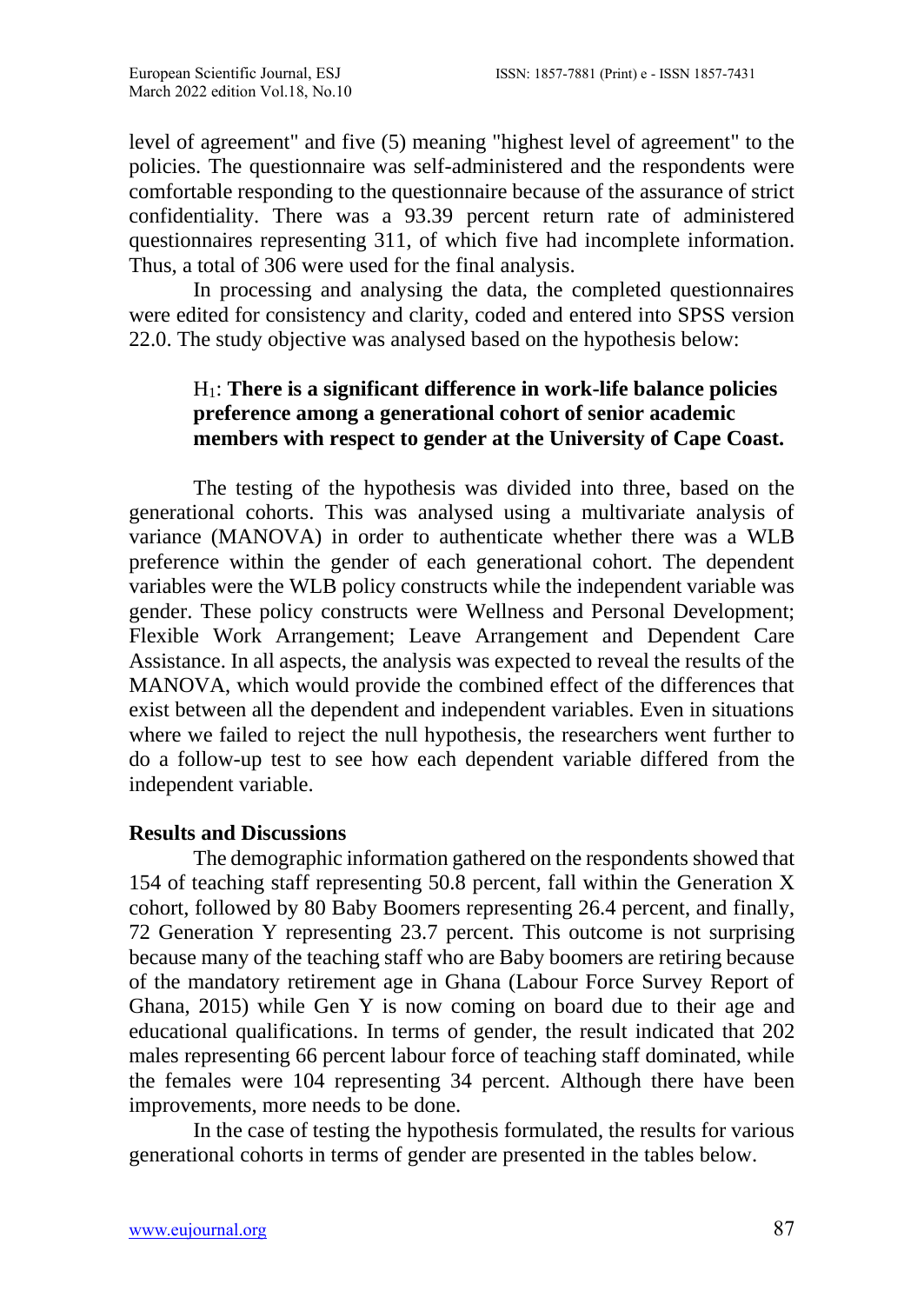level of agreement" and five (5) meaning "highest level of agreement" to the policies. The questionnaire was self-administered and the respondents were comfortable responding to the questionnaire because of the assurance of strict confidentiality. There was a 93.39 percent return rate of administered questionnaires representing 311, of which five had incomplete information. Thus, a total of 306 were used for the final analysis.

In processing and analysing the data, the completed questionnaires were edited for consistency and clarity, coded and entered into SPSS version 22.0. The study objective was analysed based on the hypothesis below:

# H1: **There is a significant difference in work-life balance policies preference among a generational cohort of senior academic members with respect to gender at the University of Cape Coast.**

The testing of the hypothesis was divided into three, based on the generational cohorts. This was analysed using a multivariate analysis of variance (MANOVA) in order to authenticate whether there was a WLB preference within the gender of each generational cohort. The dependent variables were the WLB policy constructs while the independent variable was gender. These policy constructs were Wellness and Personal Development; Flexible Work Arrangement; Leave Arrangement and Dependent Care Assistance. In all aspects, the analysis was expected to reveal the results of the MANOVA, which would provide the combined effect of the differences that exist between all the dependent and independent variables. Even in situations where we failed to reject the null hypothesis, the researchers went further to do a follow-up test to see how each dependent variable differed from the independent variable.

# **Results and Discussions**

The demographic information gathered on the respondents showed that 154 of teaching staff representing 50.8 percent, fall within the Generation X cohort, followed by 80 Baby Boomers representing 26.4 percent, and finally, 72 Generation Y representing 23.7 percent. This outcome is not surprising because many of the teaching staff who are Baby boomers are retiring because of the mandatory retirement age in Ghana (Labour Force Survey Report of Ghana, 2015) while Gen Y is now coming on board due to their age and educational qualifications. In terms of gender, the result indicated that 202 males representing 66 percent labour force of teaching staff dominated, while the females were 104 representing 34 percent. Although there have been improvements, more needs to be done.

In the case of testing the hypothesis formulated, the results for various generational cohorts in terms of gender are presented in the tables below.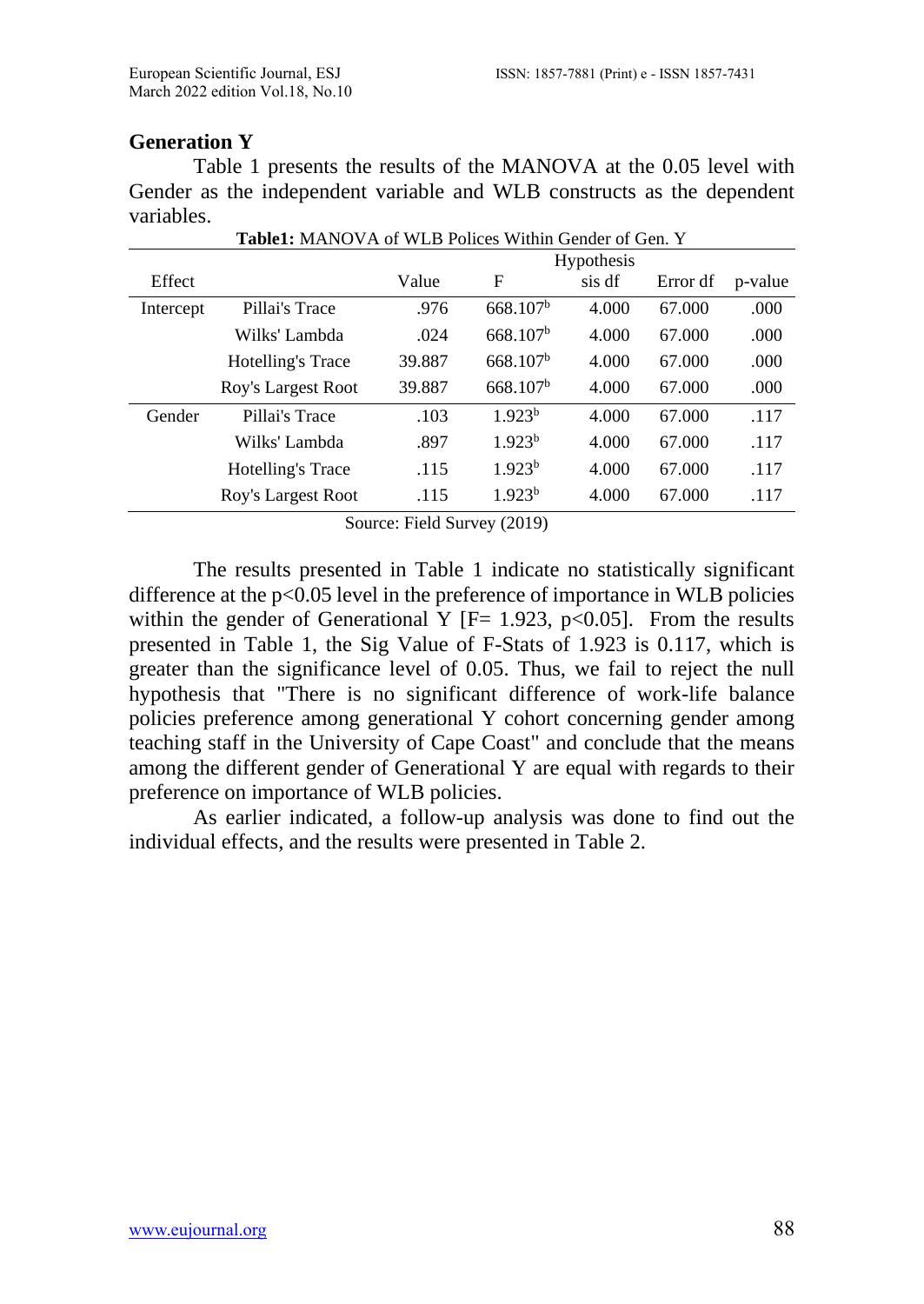# **Generation Y**

Table 1 presents the results of the MANOVA at the 0.05 level with Gender as the independent variable and WLB constructs as the dependent variables. **Table1:** MANOVA of WLB Polices Within Gender of Gen. Y

| <b>TableT:</b> MANOVA OF WLB POLICES WITHIN GENGER OF GEN. T |                    |            |                      |        |          |         |  |  |
|--------------------------------------------------------------|--------------------|------------|----------------------|--------|----------|---------|--|--|
|                                                              |                    | Hypothesis |                      |        |          |         |  |  |
| Effect                                                       |                    | Value      | F                    | sis df | Error df | p-value |  |  |
| Intercept                                                    | Pillai's Trace     | .976       | 668.107 <sup>b</sup> | 4.000  | 67.000   | .000    |  |  |
|                                                              | Wilks' Lambda      | .024       | 668.107 <sup>b</sup> | 4.000  | 67.000   | .000    |  |  |
|                                                              | Hotelling's Trace  | 39.887     | 668.107 <sup>b</sup> | 4.000  | 67,000   | .000    |  |  |
|                                                              | Roy's Largest Root | 39.887     | 668.107 <sup>b</sup> | 4.000  | 67.000   | .000    |  |  |
| Gender                                                       | Pillai's Trace     | .103       | 1.923 <sup>b</sup>   | 4.000  | 67,000   | .117    |  |  |
|                                                              | Wilks' Lambda      | .897       | 1.923 <sup>b</sup>   | 4.000  | 67,000   | .117    |  |  |
|                                                              | Hotelling's Trace  | .115       | 1.923 <sup>b</sup>   | 4.000  | 67,000   | .117    |  |  |
|                                                              | Roy's Largest Root | .115       | 1.923 <sup>b</sup>   | 4.000  | 67.000   | .117    |  |  |
|                                                              |                    |            |                      |        |          |         |  |  |

Source: Field Survey (2019)

The results presented in Table 1 indicate no statistically significant difference at the  $p<0.05$  level in the preference of importance in WLB policies within the gender of Generational Y  $[F= 1.923, p<0.05]$ . From the results presented in Table 1, the Sig Value of F-Stats of 1.923 is 0.117, which is greater than the significance level of 0.05. Thus, we fail to reject the null hypothesis that "There is no significant difference of work-life balance policies preference among generational Y cohort concerning gender among teaching staff in the University of Cape Coast" and conclude that the means among the different gender of Generational Y are equal with regards to their preference on importance of WLB policies.

As earlier indicated, a follow-up analysis was done to find out the individual effects, and the results were presented in Table 2.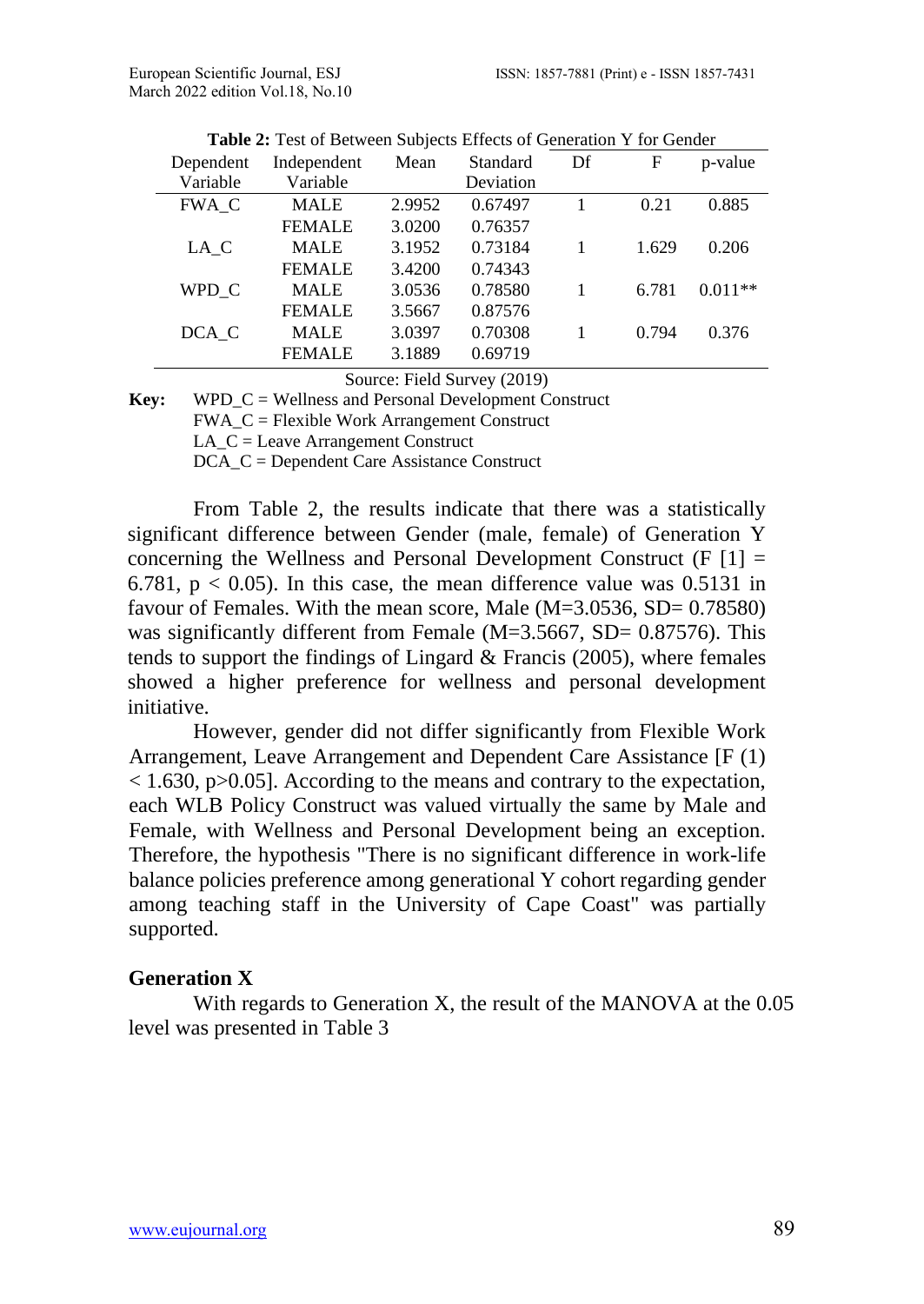| Dependent | Independent   | Mean   | Standard  | Df | F     | p-value   |
|-----------|---------------|--------|-----------|----|-------|-----------|
| Variable  | Variable      |        | Deviation |    |       |           |
| FWA C     | <b>MALE</b>   | 2.9952 | 0.67497   |    | 0.21  | 0.885     |
|           | <b>FEMALE</b> | 3.0200 | 0.76357   |    |       |           |
| LA C      | <b>MALE</b>   | 3.1952 | 0.73184   | 1  | 1.629 | 0.206     |
|           | <b>FEMALE</b> | 3.4200 | 0.74343   |    |       |           |
| WPD C     | <b>MALE</b>   | 3.0536 | 0.78580   | 1  | 6.781 | $0.011**$ |
|           | <b>FEMALE</b> | 3.5667 | 0.87576   |    |       |           |
| DCA C     | <b>MALE</b>   | 3.0397 | 0.70308   |    | 0.794 | 0.376     |
|           | <b>FEMALE</b> | 3.1889 | 0.69719   |    |       |           |
|           |               |        |           |    |       |           |

**Table 2:** Test of Between Subjects Effects of Generation Y for Gender

Source: Field Survey (2019)

**Key:** WPD\_C = Wellness and Personal Development Construct

FWA\_C = Flexible Work Arrangement Construct

LA\_C = Leave Arrangement Construct

DCA C = Dependent Care Assistance Construct

From Table 2, the results indicate that there was a statistically significant difference between Gender (male, female) of Generation Y concerning the Wellness and Personal Development Construct  $(F | I] =$ 6.781,  $p < 0.05$ ). In this case, the mean difference value was 0.5131 in favour of Females. With the mean score, Male (M=3.0536, SD= 0.78580) was significantly different from Female (M=3.5667, SD= 0.87576). This tends to support the findings of Lingard  $&$  Francis (2005), where females showed a higher preference for wellness and personal development initiative.

However, gender did not differ significantly from Flexible Work Arrangement, Leave Arrangement and Dependent Care Assistance [F (1)  $<$  1.630, p $>$ 0.05]. According to the means and contrary to the expectation, each WLB Policy Construct was valued virtually the same by Male and Female, with Wellness and Personal Development being an exception. Therefore, the hypothesis "There is no significant difference in work-life balance policies preference among generational Y cohort regarding gender among teaching staff in the University of Cape Coast" was partially supported.

#### **Generation X**

With regards to Generation X, the result of the MANOVA at the 0.05 level was presented in Table 3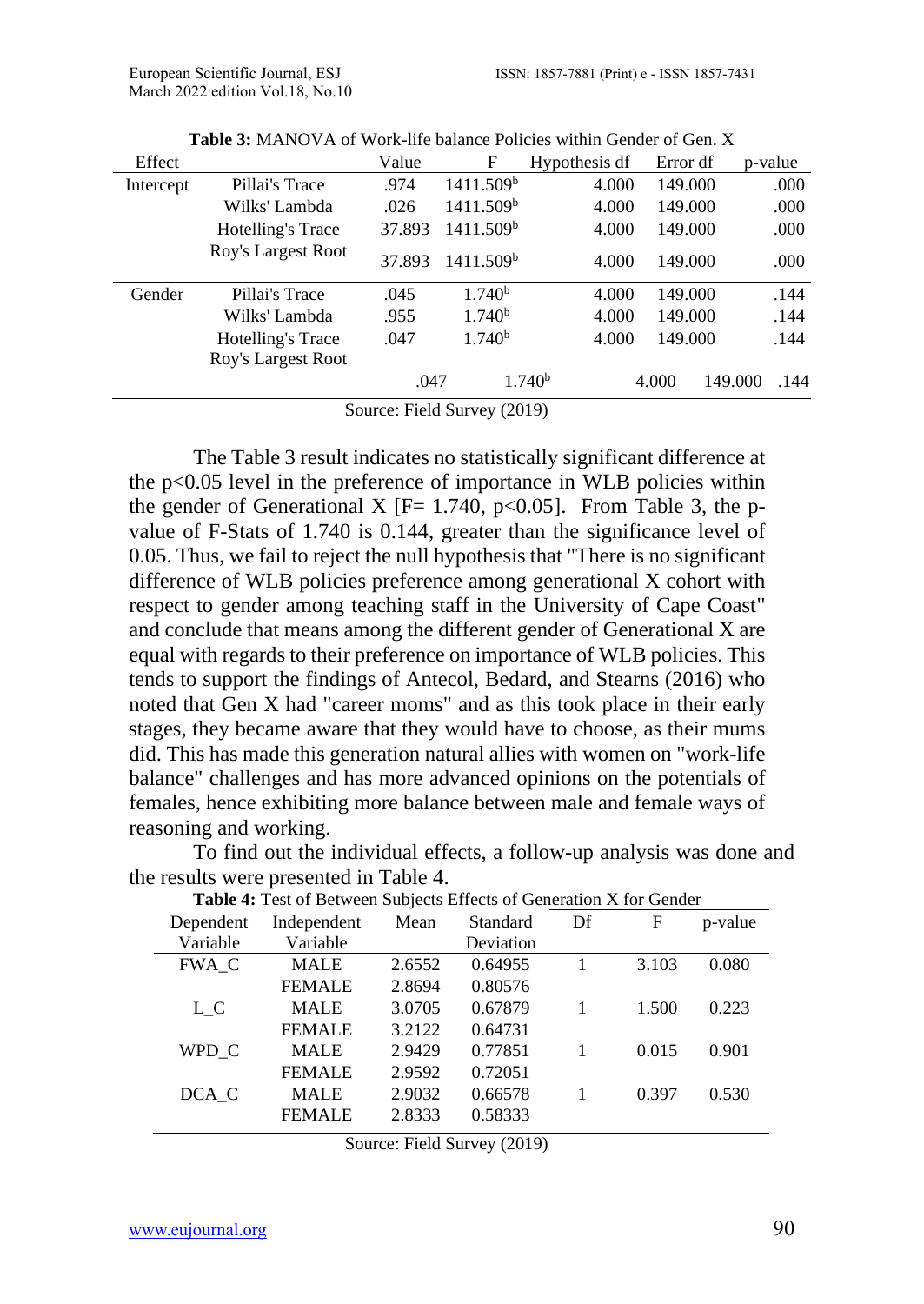| Effect    |                    | Value  | F                     | Hypothesis df      | Error df | p-value         |
|-----------|--------------------|--------|-----------------------|--------------------|----------|-----------------|
| Intercept | Pillai's Trace     | .974   | 1411.509 <sup>b</sup> | 4.000              | 149.000  | .000            |
|           | Wilks' Lambda      | .026   | 1411.509 <sup>b</sup> | 4.000              | 149.000  | .000            |
|           | Hotelling's Trace  | 37.893 | 1411.509 <sup>b</sup> | 4.000              | 149.000  | .000            |
|           | Roy's Largest Root | 37.893 | 1411.509 <sup>b</sup> | 4.000              | 149.000  | .000            |
| Gender    | Pillai's Trace     | .045   | 1.740 <sup>b</sup>    | 4.000              | 149.000  | .144            |
|           | Wilks' Lambda      | .955   | 1.740 <sup>b</sup>    | 4.000              | 149.000  | .144            |
|           | Hotelling's Trace  | .047   | 1.740 <sup>b</sup>    | 4.000              | 149.000  | .144            |
|           | Roy's Largest Root |        |                       |                    |          |                 |
|           |                    | .047   |                       | 1.740 <sup>b</sup> | 4.000    | 149.000<br>.144 |

**Table 3:** MANOVA of Work-life balance Policies within Gender of Gen. X

Source: Field Survey (2019)

The Table 3 result indicates no statistically significant difference at the p<0.05 level in the preference of importance in WLB policies within the gender of Generational X  $[F= 1.740, p<0.05]$ . From Table 3, the pvalue of F-Stats of 1.740 is 0.144, greater than the significance level of 0.05. Thus, we fail to reject the null hypothesis that "There is no significant difference of WLB policies preference among generational X cohort with respect to gender among teaching staff in the University of Cape Coast" and conclude that means among the different gender of Generational X are equal with regards to their preference on importance of WLB policies. This tends to support the findings of Antecol, Bedard, and Stearns (2016) who noted that Gen X had "career moms" and as this took place in their early stages, they became aware that they would have to choose, as their mums did. This has made this generation natural allies with women on "work-life balance" challenges and has more advanced opinions on the potentials of females, hence exhibiting more balance between male and female ways of reasoning and working.

| <b>Table 4: Test of Between Subjects Effects of Generation X for Gender</b> |               |                   |         |    |       |         |  |
|-----------------------------------------------------------------------------|---------------|-------------------|---------|----|-------|---------|--|
| Dependent                                                                   | Independent   | Mean<br>Standard  |         | Df | F     | p-value |  |
| Variable                                                                    | Variable      | Deviation         |         |    |       |         |  |
| FWA C                                                                       | <b>MALE</b>   | 0.64955<br>2.6552 |         |    | 3.103 | 0.080   |  |
|                                                                             | <b>FEMALE</b> | 2.8694            | 0.80576 |    |       |         |  |
| $L_C$                                                                       | <b>MALE</b>   | 3.0705            | 0.67879 |    | 1.500 | 0.223   |  |
|                                                                             | <b>FEMALE</b> | 3.2122            | 0.64731 |    |       |         |  |
| WPD C                                                                       | <b>MALE</b>   | 2.9429            | 0.77851 |    | 0.015 | 0.901   |  |
|                                                                             | <b>FEMALE</b> | 2.9592            | 0.72051 |    |       |         |  |
| DCA C                                                                       | <b>MALE</b>   | 2.9032            | 0.66578 |    | 0.397 | 0.530   |  |
|                                                                             | <b>FEMALE</b> | 2.8333            | 0.58333 |    |       |         |  |

To find out the individual effects, a follow-up analysis was done and the results were presented in Table 4.

Source: Field Survey (2019)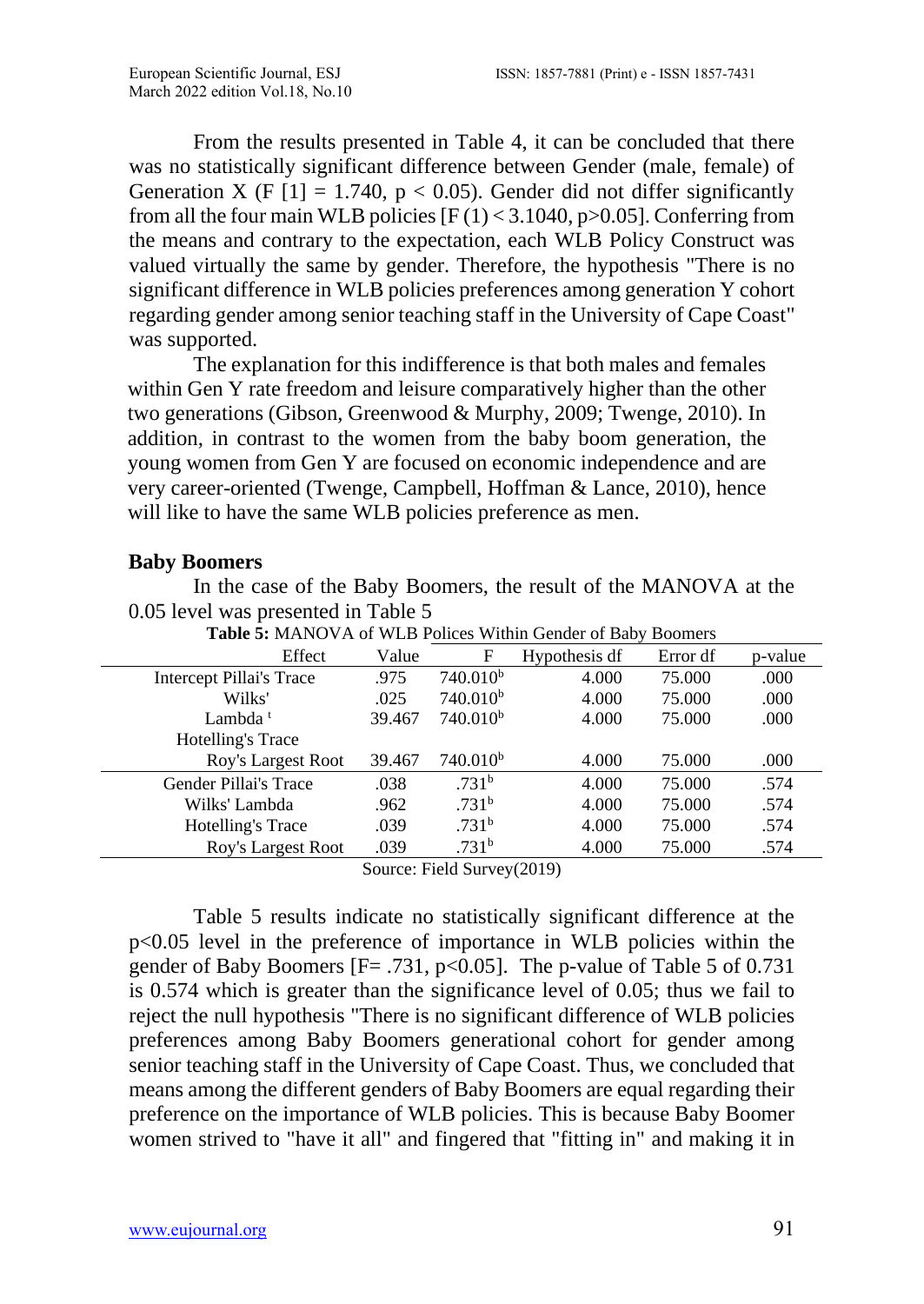From the results presented in Table 4, it can be concluded that there was no statistically significant difference between Gender (male, female) of Generation X (F  $[1] = 1.740$ , p < 0.05). Gender did not differ significantly from all the four main WLB policies  $[F(1) < 3.1040, p > 0.05]$ . Conferring from the means and contrary to the expectation, each WLB Policy Construct was valued virtually the same by gender. Therefore, the hypothesis "There is no significant difference in WLB policies preferences among generation Y cohort regarding gender among senior teaching staff in the University of Cape Coast" was supported.

The explanation for this indifference is that both males and females within Gen Y rate freedom and leisure comparatively higher than the other two generations (Gibson, Greenwood & Murphy, 2009; Twenge, 2010). In addition, in contrast to the women from the baby boom generation, the young women from Gen Y are focused on economic independence and are very career-oriented (Twenge, Campbell, Hoffman & Lance, 2010), hence will like to have the same WLB policies preference as men.

### **Baby Boomers**

In the case of the Baby Boomers, the result of the MANOVA at the 0.05 level was presented in Table 5

| Effect                          | Value  | F                                                 | Hypothesis df | Error df | p-value |  |  |
|---------------------------------|--------|---------------------------------------------------|---------------|----------|---------|--|--|
| <b>Intercept Pillai's Trace</b> | .975   | 740.010 <sup>b</sup>                              | 4.000         | 75.000   | .000    |  |  |
| Wilks'                          | .025   | 740.010 <sup>b</sup>                              | 4.000         | 75.000   | .000    |  |  |
| Lambda <sup>t</sup>             | 39.467 | 740.010 <sup>b</sup>                              | 4.000         | 75,000   | .000    |  |  |
| Hotelling's Trace               |        |                                                   |               |          |         |  |  |
| Roy's Largest Root              | 39.467 | 740.010 <sup>b</sup>                              | 4.000         | 75,000   | .000    |  |  |
| Gender Pillai's Trace           | .038   | .731 <sup>b</sup>                                 | 4.000         | 75.000   | .574    |  |  |
| Wilks' Lambda                   | .962   | .731 <sup>b</sup>                                 | 4.000         | 75.000   | .574    |  |  |
| <b>Hotelling's Trace</b>        | .039   | .731 <sup>b</sup>                                 | 4.000         | 75,000   | .574    |  |  |
| Roy's Largest Root              | .039   | .731 <sup>b</sup>                                 | 4.000         | 75.000   | .574    |  |  |
|                                 |        | $C_{211111}$ $D_{1111}$ $D_{111111}$ $D_{111111}$ |               |          |         |  |  |

**Table 5:** MANOVA of WLB Polices Within Gender of Baby Boomers

Source: Field Survey(2019)

Table 5 results indicate no statistically significant difference at the p<0.05 level in the preference of importance in WLB policies within the gender of Baby Boomers  $[F = .731, p < 0.05]$ . The p-value of Table 5 of 0.731 is 0.574 which is greater than the significance level of 0.05; thus we fail to reject the null hypothesis "There is no significant difference of WLB policies preferences among Baby Boomers generational cohort for gender among senior teaching staff in the University of Cape Coast. Thus, we concluded that means among the different genders of Baby Boomers are equal regarding their preference on the importance of WLB policies. This is because Baby Boomer women strived to "have it all" and fingered that "fitting in" and making it in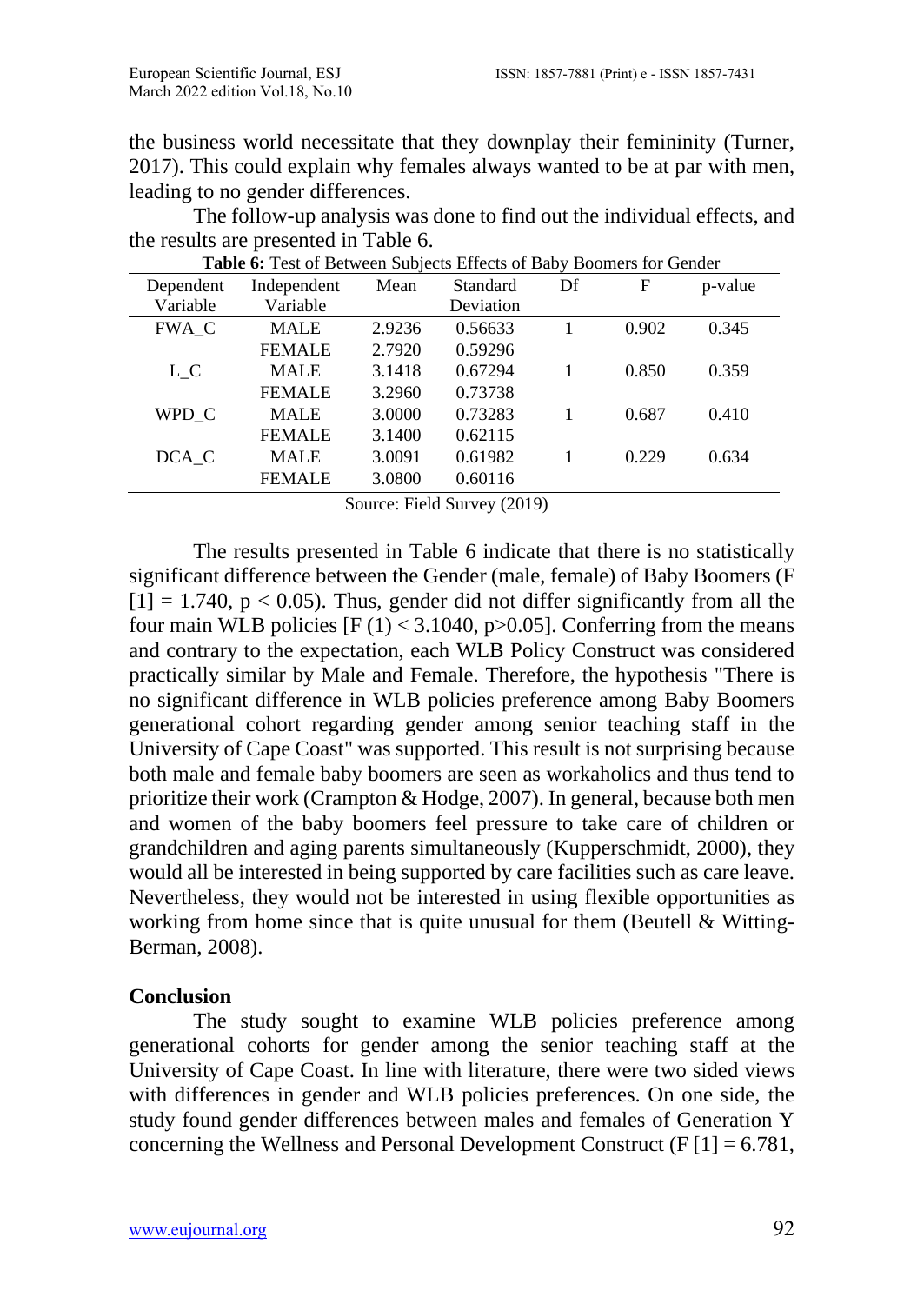the business world necessitate that they downplay their femininity (Turner, 2017). This could explain why females always wanted to be at par with men, leading to no gender differences.

The follow-up analysis was done to find out the individual effects, and the results are presented in Table 6.

| <b>Table 6:</b> Test of Between Subjects Effects of Baby Boomers for Gender |               |        |           |    |       |         |  |
|-----------------------------------------------------------------------------|---------------|--------|-----------|----|-------|---------|--|
| Dependent                                                                   | Independent   | Mean   | Standard  | Df | F     | p-value |  |
| Variable                                                                    | Variable      |        | Deviation |    |       |         |  |
| FWA C                                                                       | <b>MALE</b>   | 2.9236 | 0.56633   |    | 0.902 | 0.345   |  |
|                                                                             | <b>FEMALE</b> | 2.7920 | 0.59296   |    |       |         |  |
| $L_{C}$                                                                     | <b>MALE</b>   | 3.1418 | 0.67294   |    | 0.850 | 0.359   |  |
|                                                                             | <b>FEMALE</b> | 3.2960 | 0.73738   |    |       |         |  |
| WPD C                                                                       | <b>MALE</b>   | 3.0000 | 0.73283   |    | 0.687 | 0.410   |  |
|                                                                             | <b>FEMALE</b> | 3.1400 | 0.62115   |    |       |         |  |
| DCA C                                                                       | <b>MALE</b>   | 3.0091 | 0.61982   |    | 0.229 | 0.634   |  |
|                                                                             | <b>FEMALE</b> | 3.0800 | 0.60116   |    |       |         |  |
|                                                                             |               |        |           |    |       |         |  |

Source: Field Survey (2019)

The results presented in Table 6 indicate that there is no statistically significant difference between the Gender (male, female) of Baby Boomers (F  $[1] = 1.740$ ,  $p < 0.05$ ). Thus, gender did not differ significantly from all the four main WLB policies  $[F(1) < 3.1040, p > 0.05]$ . Conferring from the means and contrary to the expectation, each WLB Policy Construct was considered practically similar by Male and Female. Therefore, the hypothesis "There is no significant difference in WLB policies preference among Baby Boomers generational cohort regarding gender among senior teaching staff in the University of Cape Coast" was supported. This result is not surprising because both male and female baby boomers are seen as workaholics and thus tend to prioritize their work (Crampton & Hodge, 2007). In general, because both men and women of the baby boomers feel pressure to take care of children or grandchildren and aging parents simultaneously (Kupperschmidt, 2000), they would all be interested in being supported by care facilities such as care leave. Nevertheless, they would not be interested in using flexible opportunities as working from home since that is quite unusual for them (Beutell & Witting-Berman, 2008).

#### **Conclusion**

The study sought to examine WLB policies preference among generational cohorts for gender among the senior teaching staff at the University of Cape Coast. In line with literature, there were two sided views with differences in gender and WLB policies preferences. On one side, the study found gender differences between males and females of Generation Y concerning the Wellness and Personal Development Construct (F  $[1] = 6.781$ ,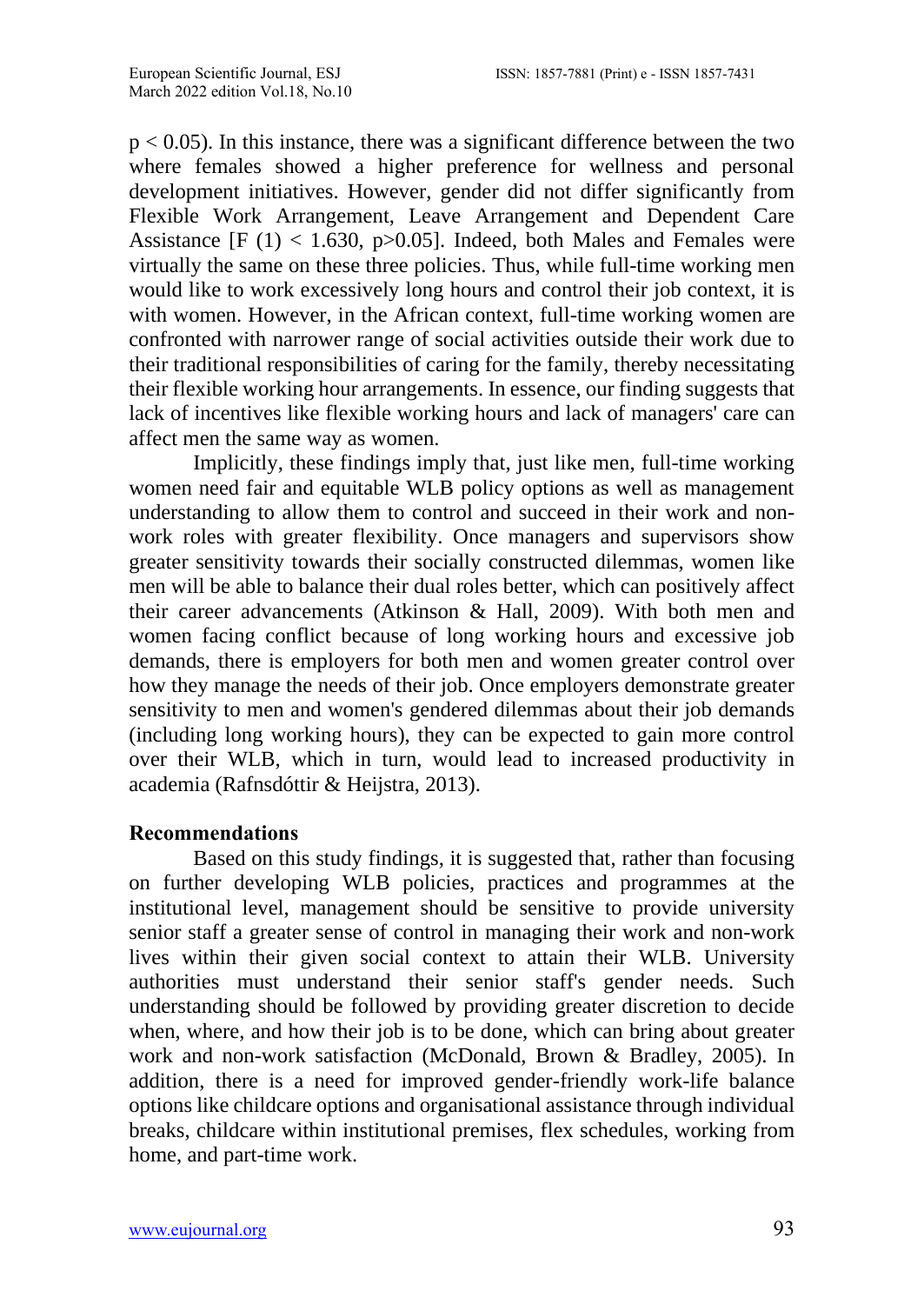$p < 0.05$ ). In this instance, there was a significant difference between the two where females showed a higher preference for wellness and personal development initiatives. However, gender did not differ significantly from Flexible Work Arrangement, Leave Arrangement and Dependent Care Assistance  $[F (1) < 1.630, p>0.05]$ . Indeed, both Males and Females were virtually the same on these three policies. Thus, while full-time working men would like to work excessively long hours and control their job context, it is with women. However, in the African context, full-time working women are confronted with narrower range of social activities outside their work due to their traditional responsibilities of caring for the family, thereby necessitating their flexible working hour arrangements. In essence, our finding suggests that lack of incentives like flexible working hours and lack of managers' care can affect men the same way as women.

Implicitly, these findings imply that, just like men, full-time working women need fair and equitable WLB policy options as well as management understanding to allow them to control and succeed in their work and nonwork roles with greater flexibility. Once managers and supervisors show greater sensitivity towards their socially constructed dilemmas, women like men will be able to balance their dual roles better, which can positively affect their career advancements (Atkinson & Hall, 2009). With both men and women facing conflict because of long working hours and excessive job demands, there is employers for both men and women greater control over how they manage the needs of their job. Once employers demonstrate greater sensitivity to men and women's gendered dilemmas about their job demands (including long working hours), they can be expected to gain more control over their WLB, which in turn, would lead to increased productivity in academia (Rafnsdóttir & Heijstra, 2013).

#### **Recommendations**

Based on this study findings, it is suggested that, rather than focusing on further developing WLB policies, practices and programmes at the institutional level, management should be sensitive to provide university senior staff a greater sense of control in managing their work and non-work lives within their given social context to attain their WLB. University authorities must understand their senior staff's gender needs. Such understanding should be followed by providing greater discretion to decide when, where, and how their job is to be done, which can bring about greater work and non-work satisfaction (McDonald, Brown & Bradley, 2005). In addition, there is a need for improved gender-friendly work-life balance options like childcare options and organisational assistance through individual breaks, childcare within institutional premises, flex schedules, working from home, and part-time work.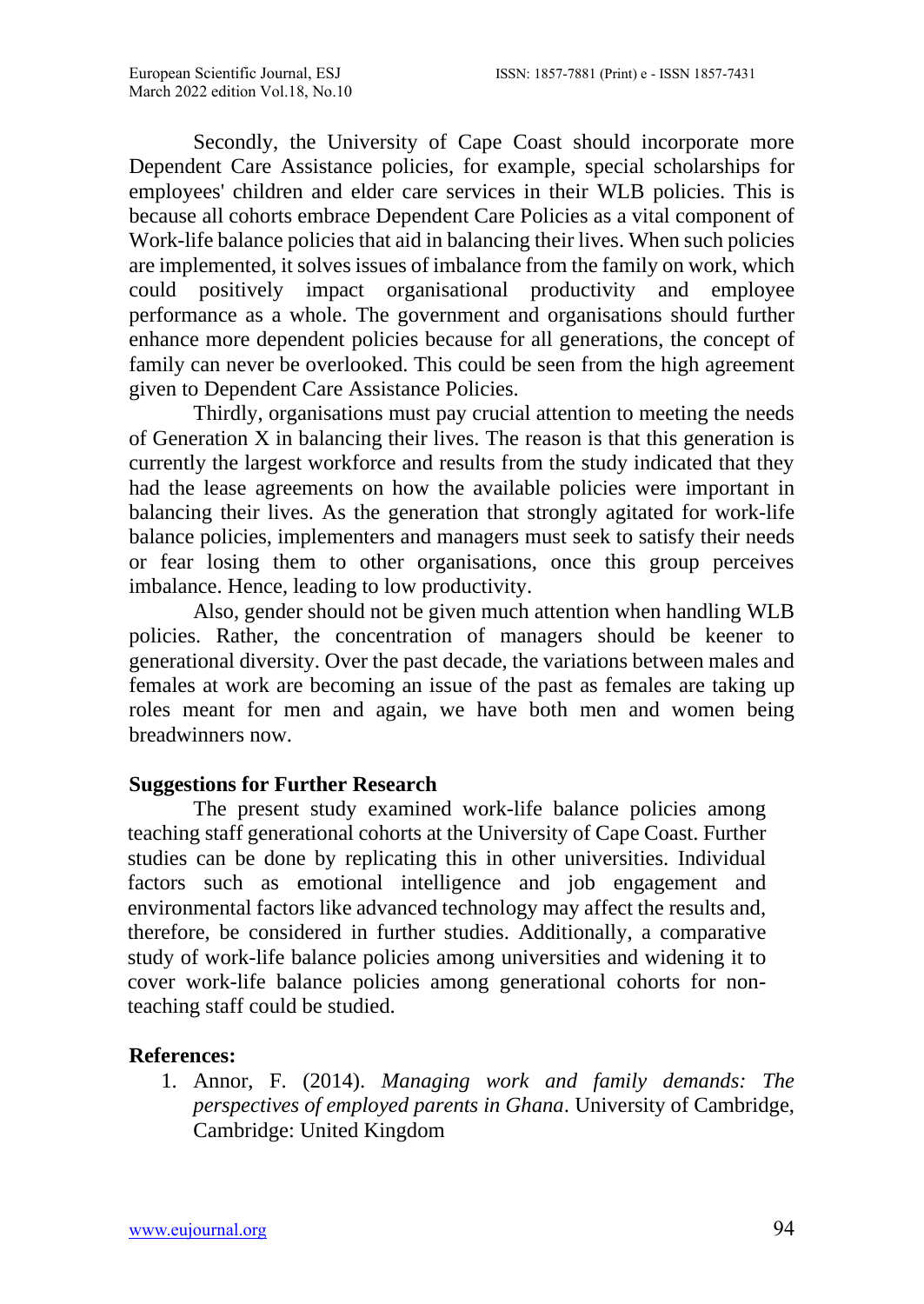Secondly, the University of Cape Coast should incorporate more Dependent Care Assistance policies, for example, special scholarships for employees' children and elder care services in their WLB policies. This is because all cohorts embrace Dependent Care Policies as a vital component of Work-life balance policies that aid in balancing their lives. When such policies are implemented, it solves issues of imbalance from the family on work, which could positively impact organisational productivity and employee performance as a whole. The government and organisations should further enhance more dependent policies because for all generations, the concept of family can never be overlooked. This could be seen from the high agreement given to Dependent Care Assistance Policies.

Thirdly, organisations must pay crucial attention to meeting the needs of Generation X in balancing their lives. The reason is that this generation is currently the largest workforce and results from the study indicated that they had the lease agreements on how the available policies were important in balancing their lives. As the generation that strongly agitated for work-life balance policies, implementers and managers must seek to satisfy their needs or fear losing them to other organisations, once this group perceives imbalance. Hence, leading to low productivity.

Also, gender should not be given much attention when handling WLB policies. Rather, the concentration of managers should be keener to generational diversity. Over the past decade, the variations between males and females at work are becoming an issue of the past as females are taking up roles meant for men and again, we have both men and women being breadwinners now.

# **Suggestions for Further Research**

The present study examined work-life balance policies among teaching staff generational cohorts at the University of Cape Coast. Further studies can be done by replicating this in other universities. Individual factors such as emotional intelligence and job engagement and environmental factors like advanced technology may affect the results and, therefore, be considered in further studies. Additionally, a comparative study of work-life balance policies among universities and widening it to cover work-life balance policies among generational cohorts for nonteaching staff could be studied.

# **References:**

1. Annor, F. (2014). *Managing work and family demands: The perspectives of employed parents in Ghana*. University of Cambridge, Cambridge: United Kingdom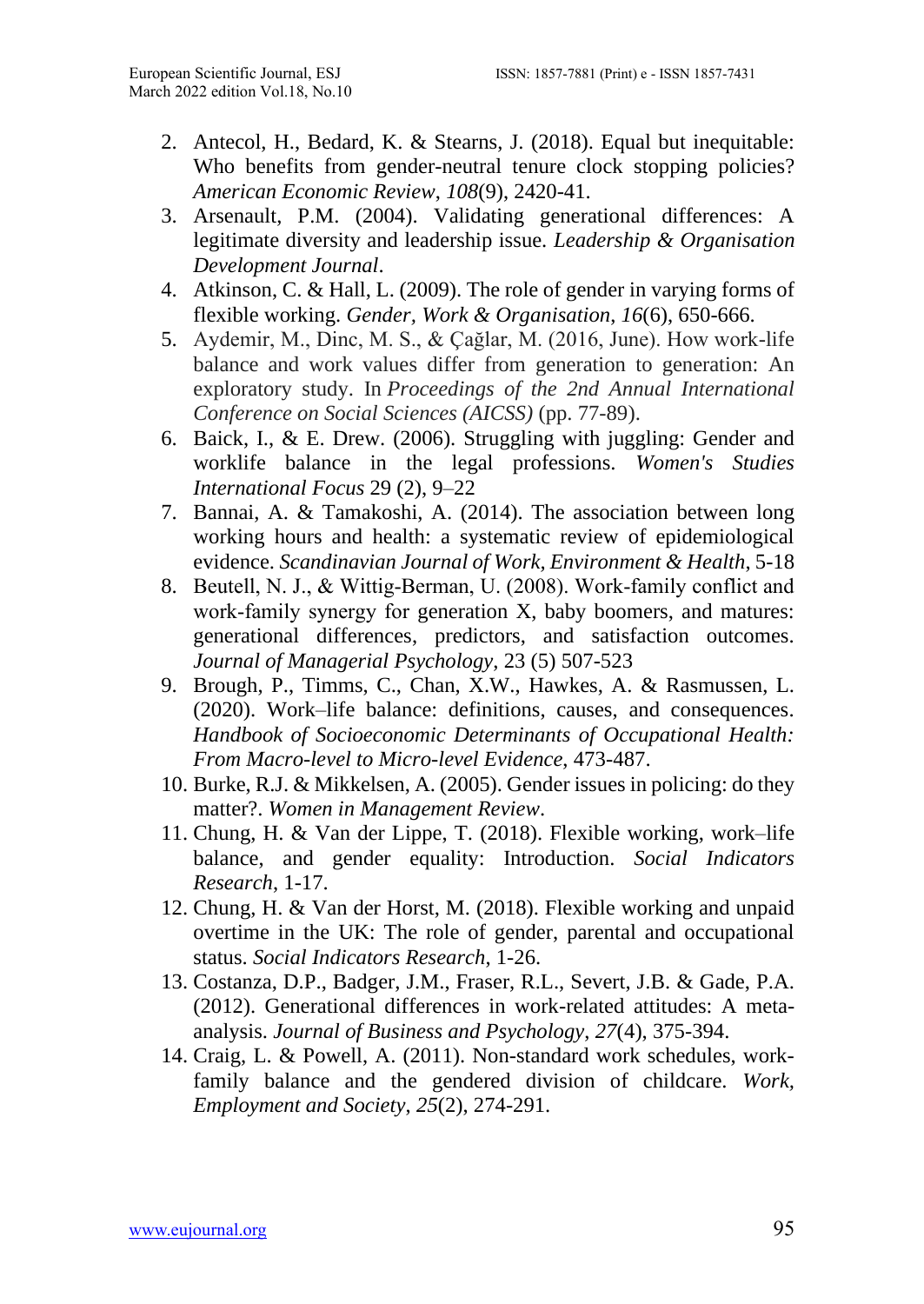- 2. Antecol, H., Bedard, K. & Stearns, J. (2018). Equal but inequitable: Who benefits from gender-neutral tenure clock stopping policies? *American Economic Review*, *108*(9), 2420-41.
- 3. Arsenault, P.M. (2004). Validating generational differences: A legitimate diversity and leadership issue. *Leadership & Organisation Development Journal*.
- 4. Atkinson, C. & Hall, L. (2009). The role of gender in varying forms of flexible working. *Gender, Work & Organisation*, *16*(6), 650-666.
- 5. Aydemir, M., Dinc, M. S., & Çağlar, M. (2016, June). How work-life balance and work values differ from generation to generation: An exploratory study. In *Proceedings of the 2nd Annual International Conference on Social Sciences (AICSS)* (pp. 77-89).
- 6. Baick, I., & E. Drew. (2006). Struggling with juggling: Gender and worklife balance in the legal professions. *Women's Studies International Focus* 29 (2), 9–22
- 7. Bannai, A. & Tamakoshi, A. (2014). The association between long working hours and health: a systematic review of epidemiological evidence. *Scandinavian Journal of Work, Environment & Health*, 5-18
- 8. Beutell, N. J., & Wittig‐Berman, U. (2008). Work‐family conflict and work-family synergy for generation X, baby boomers, and matures: generational differences, predictors, and satisfaction outcomes. *Journal of Managerial Psychology*, 23 (5) 507-523
- 9. Brough, P., Timms, C., Chan, X.W., Hawkes, A. & Rasmussen, L. (2020). Work–life balance: definitions, causes, and consequences. *Handbook of Socioeconomic Determinants of Occupational Health: From Macro-level to Micro-level Evidence*, 473-487.
- 10. Burke, R.J. & Mikkelsen, A. (2005). Gender issues in policing: do they matter?. *Women in Management Review*.
- 11. Chung, H. & Van der Lippe, T. (2018). Flexible working, work–life balance, and gender equality: Introduction. *Social Indicators Research*, 1-17.
- 12. Chung, H. & Van der Horst, M. (2018). Flexible working and unpaid overtime in the UK: The role of gender, parental and occupational status. *Social Indicators Research*, 1-26.
- 13. Costanza, D.P., Badger, J.M., Fraser, R.L., Severt, J.B. & Gade, P.A. (2012). Generational differences in work-related attitudes: A metaanalysis. *Journal of Business and Psychology*, *27*(4), 375-394.
- 14. Craig, L. & Powell, A. (2011). Non-standard work schedules, workfamily balance and the gendered division of childcare. *Work, Employment and Society*, *25*(2), 274-291.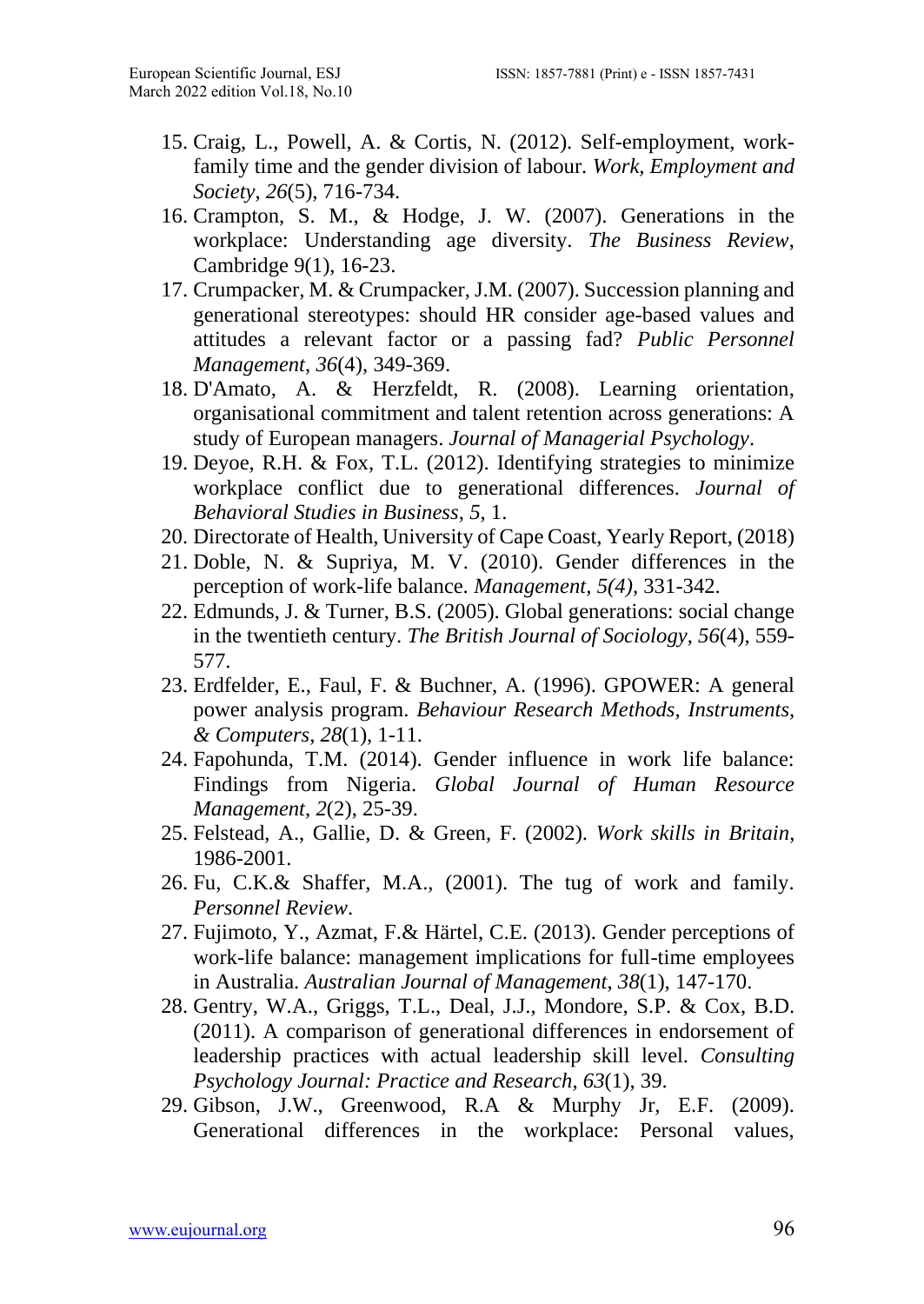- 15. Craig, L., Powell, A. & Cortis, N. (2012). Self-employment, workfamily time and the gender division of labour. *Work, Employment and Society*, *26*(5), 716-734.
- 16. Crampton, S. M., & Hodge, J. W. (2007). Generations in the workplace: Understanding age diversity. *The Business Review*, Cambridge 9(1), 16-23.
- 17. Crumpacker, M. & Crumpacker, J.M. (2007). Succession planning and generational stereotypes: should HR consider age-based values and attitudes a relevant factor or a passing fad? *Public Personnel Management*, *36*(4), 349-369.
- 18. D'Amato, A. & Herzfeldt, R. (2008). Learning orientation, organisational commitment and talent retention across generations: A study of European managers. *Journal of Managerial Psychology*.
- 19. Deyoe, R.H. & Fox, T.L. (2012). Identifying strategies to minimize workplace conflict due to generational differences. *Journal of Behavioral Studies in Business*, *5*, 1.
- 20. Directorate of Health, University of Cape Coast, Yearly Report, (2018)
- 21. Doble, N. & Supriya, M. V. (2010). Gender differences in the perception of work-life balance. *Management, 5(4),* 331-342.
- 22. Edmunds, J. & Turner, B.S. (2005). Global generations: social change in the twentieth century. *The British Journal of Sociology*, *56*(4), 559- 577.
- 23. Erdfelder, E., Faul, F. & Buchner, A. (1996). GPOWER: A general power analysis program. *Behaviour Research Methods, Instruments, & Computers*, *28*(1), 1-11.
- 24. Fapohunda, T.M. (2014). Gender influence in work life balance: Findings from Nigeria. *Global Journal of Human Resource Management*, *2*(2), 25-39.
- 25. Felstead, A., Gallie, D. & Green, F. (2002). *Work skills in Britain*, 1986-2001.
- 26. Fu, C.K.& Shaffer, M.A., (2001). The tug of work and family. *Personnel Review*.
- 27. Fujimoto, Y., Azmat, F.& Härtel, C.E. (2013). Gender perceptions of work-life balance: management implications for full-time employees in Australia. *Australian Journal of Management*, *38*(1), 147-170.
- 28. Gentry, W.A., Griggs, T.L., Deal, J.J., Mondore, S.P. & Cox, B.D. (2011). A comparison of generational differences in endorsement of leadership practices with actual leadership skill level. *Consulting Psychology Journal: Practice and Research*, *63*(1), 39.
- 29. Gibson, J.W., Greenwood, R.A & Murphy Jr, E.F. (2009). Generational differences in the workplace: Personal values,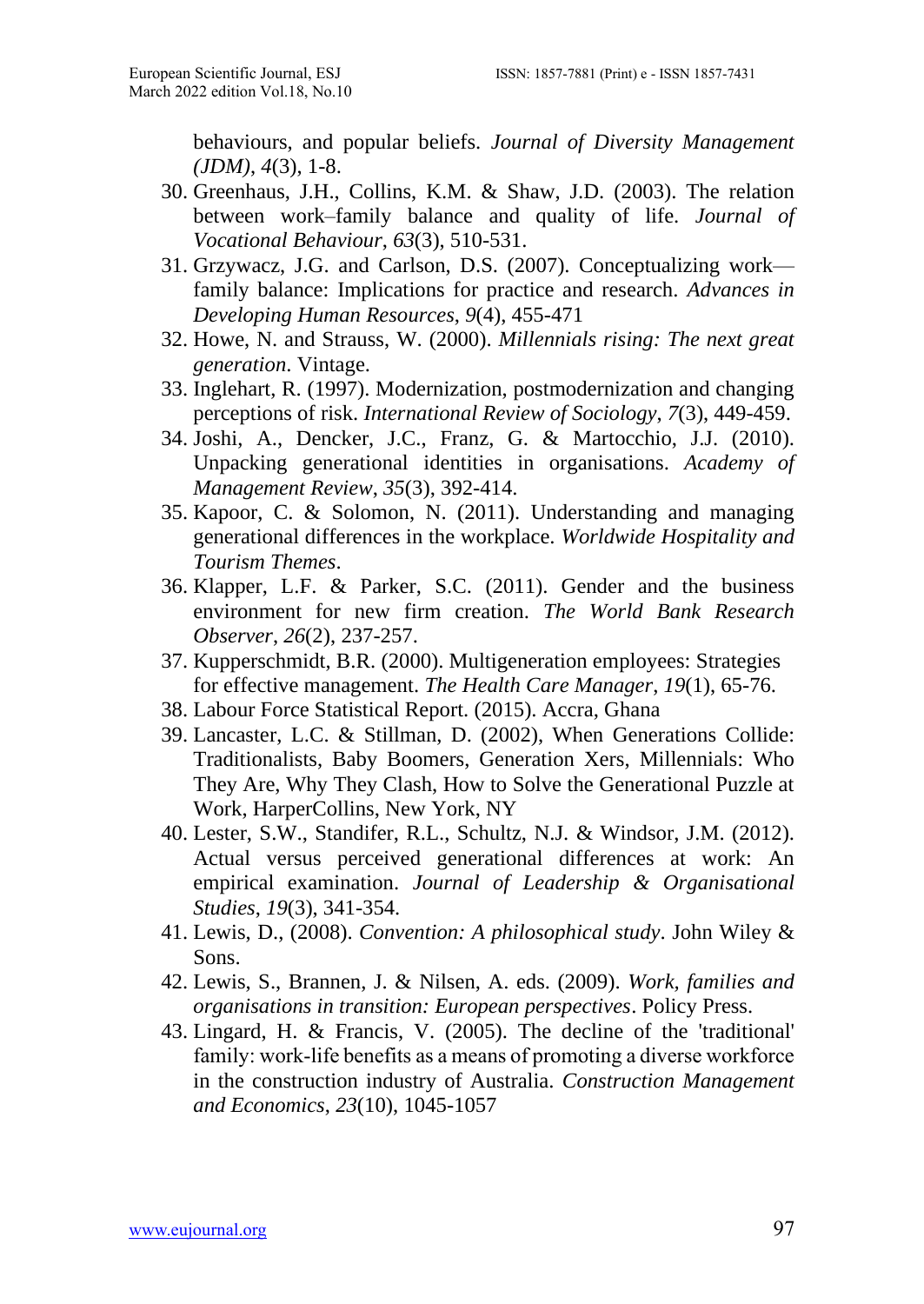behaviours, and popular beliefs. *Journal of Diversity Management (JDM)*, *4*(3), 1-8.

- 30. Greenhaus, J.H., Collins, K.M. & Shaw, J.D. (2003). The relation between work–family balance and quality of life. *Journal of Vocational Behaviour*, *63*(3), 510-531.
- 31. Grzywacz, J.G. and Carlson, D.S. (2007). Conceptualizing work family balance: Implications for practice and research. *Advances in Developing Human Resources*, *9*(4), 455-471
- 32. Howe, N. and Strauss, W. (2000). *Millennials rising: The next great generation*. Vintage.
- 33. Inglehart, R. (1997). Modernization, postmodernization and changing perceptions of risk. *International Review of Sociology*, *7*(3), 449-459.
- 34. Joshi, A., Dencker, J.C., Franz, G. & Martocchio, J.J. (2010). Unpacking generational identities in organisations. *Academy of Management Review*, *35*(3), 392-414.
- 35. Kapoor, C. & Solomon, N. (2011). Understanding and managing generational differences in the workplace. *Worldwide Hospitality and Tourism Themes*.
- 36. Klapper, L.F. & Parker, S.C. (2011). Gender and the business environment for new firm creation. *The World Bank Research Observer*, *26*(2), 237-257.
- 37. Kupperschmidt, B.R. (2000). Multigeneration employees: Strategies for effective management. *The Health Care Manager*, *19*(1), 65-76.
- 38. Labour Force Statistical Report. (2015). Accra, Ghana
- 39. Lancaster, L.C. & Stillman, D. (2002), When Generations Collide: Traditionalists, Baby Boomers, Generation Xers, Millennials: Who They Are, Why They Clash, How to Solve the Generational Puzzle at Work, HarperCollins, New York, NY
- 40. Lester, S.W., Standifer, R.L., Schultz, N.J. & Windsor, J.M. (2012). Actual versus perceived generational differences at work: An empirical examination. *Journal of Leadership & Organisational Studies*, *19*(3), 341-354.
- 41. Lewis, D., (2008). *Convention: A philosophical study*. John Wiley & Sons.
- 42. Lewis, S., Brannen, J. & Nilsen, A. eds. (2009). *Work, families and organisations in transition: European perspectives*. Policy Press.
- 43. Lingard, H. & Francis, V. (2005). The decline of the 'traditional' family: work-life benefits as a means of promoting a diverse workforce in the construction industry of Australia. *Construction Management and Economics*, *23*(10), 1045-1057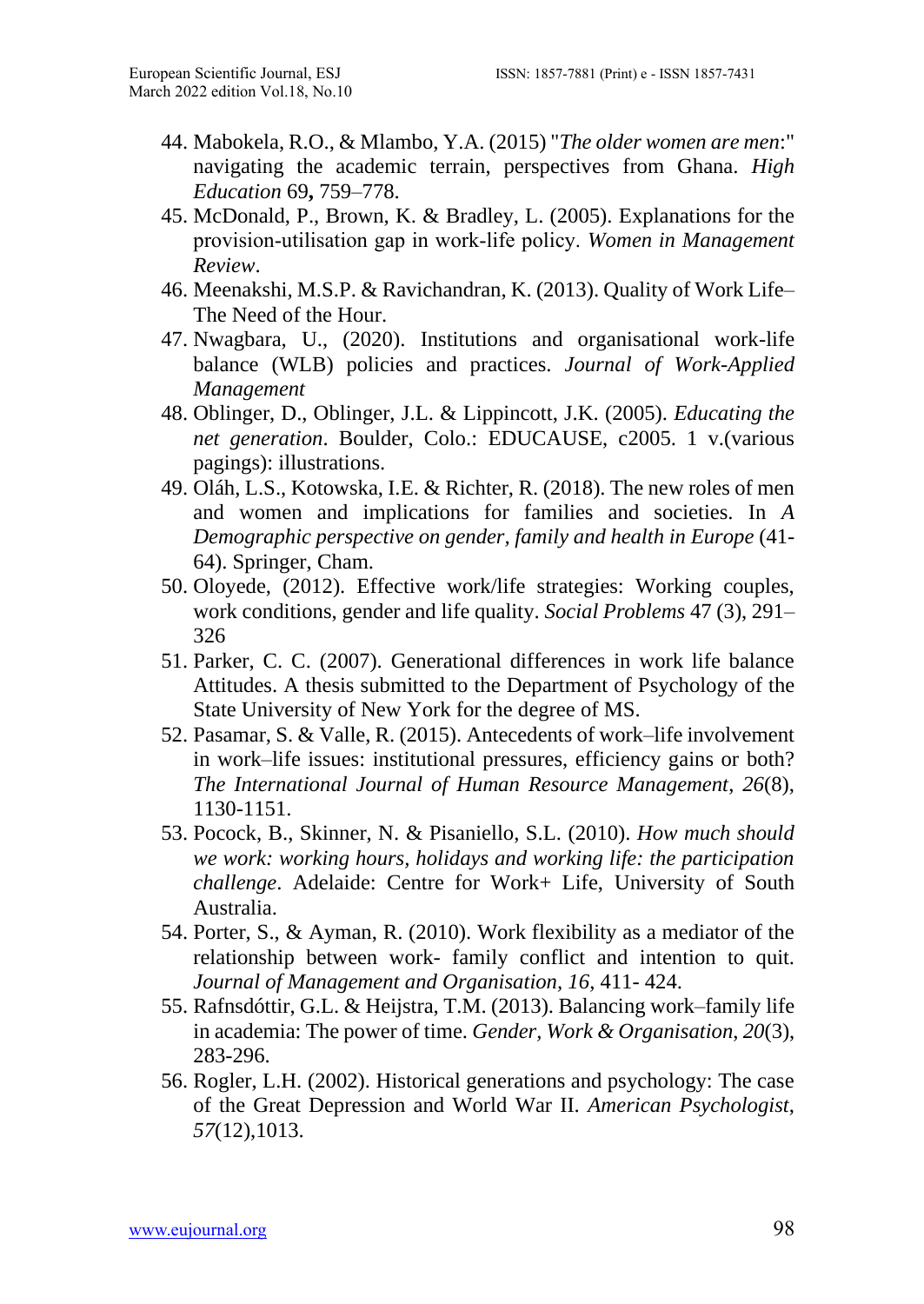- 44. Mabokela, R.O., & Mlambo, Y.A. (2015) "*The older women are men*:" navigating the academic terrain, perspectives from Ghana. *High Education* 69**,** 759–778.
- 45. McDonald, P., Brown, K. & Bradley, L. (2005). Explanations for the provision‐utilisation gap in work‐life policy. *Women in Management Review*.
- 46. Meenakshi, M.S.P. & Ravichandran, K. (2013). Quality of Work Life– The Need of the Hour.
- 47. Nwagbara, U., (2020). Institutions and organisational work-life balance (WLB) policies and practices. *Journal of Work-Applied Management*
- 48. Oblinger, D., Oblinger, J.L. & Lippincott, J.K. (2005). *Educating the net generation*. Boulder, Colo.: EDUCAUSE, c2005. 1 v.(various pagings): illustrations.
- 49. Oláh, L.S., Kotowska, I.E. & Richter, R. (2018). The new roles of men and women and implications for families and societies. In *A Demographic perspective on gender, family and health in Europe* (41- 64). Springer, Cham.
- 50. Oloyede, (2012). Effective work/life strategies: Working couples, work conditions, gender and life quality. *Social Problems* 47 (3), 291– 326
- 51. Parker, C. C. (2007). Generational differences in work life balance Attitudes. A thesis submitted to the Department of Psychology of the State University of New York for the degree of MS.
- 52. Pasamar, S. & Valle, R. (2015). Antecedents of work–life involvement in work–life issues: institutional pressures, efficiency gains or both? *The International Journal of Human Resource Management*, *26*(8), 1130-1151.
- 53. Pocock, B., Skinner, N. & Pisaniello, S.L. (2010). *How much should we work: working hours, holidays and working life: the participation challenge*. Adelaide: Centre for Work+ Life, University of South Australia.
- 54. Porter, S., & Ayman, R. (2010). Work flexibility as a mediator of the relationship between work- family conflict and intention to quit. *Journal of Management and Organisation, 16*, 411- 424.
- 55. Rafnsdóttir, G.L. & Heijstra, T.M. (2013). Balancing work–family life in academia: The power of time. *Gender, Work & Organisation*, *20*(3), 283-296.
- 56. Rogler, L.H. (2002). Historical generations and psychology: The case of the Great Depression and World War II. *American Psychologist*, *57*(12),1013.